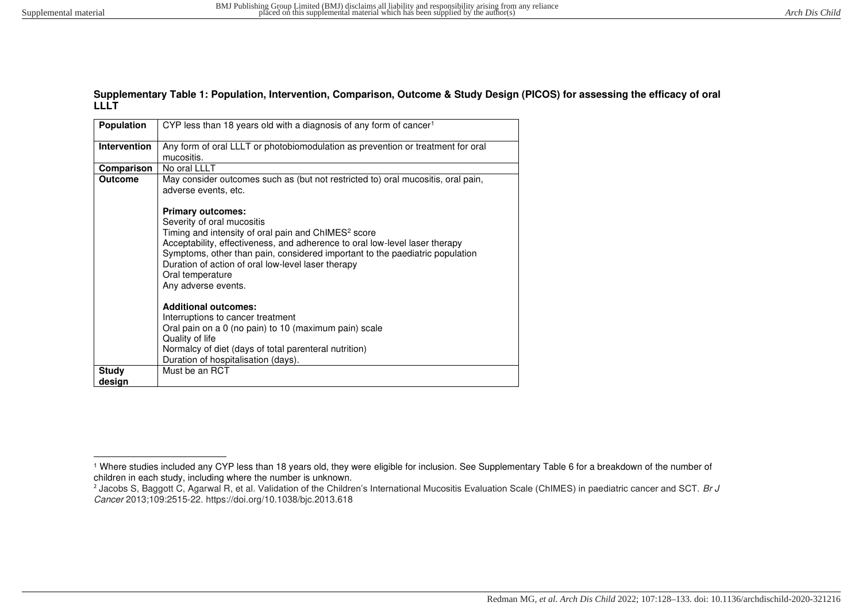#### **Supplementary Table 1: Population, Intervention, Comparison, Outcome & Study Design (PICOS) for assessing the efficacy of oral LLLT**

| <b>Population</b>   | CYP less than 18 years old with a diagnosis of any form of cancer <sup>1</sup>                                                                                                                                                                                                                                                                                                            |
|---------------------|-------------------------------------------------------------------------------------------------------------------------------------------------------------------------------------------------------------------------------------------------------------------------------------------------------------------------------------------------------------------------------------------|
| <b>Intervention</b> | Any form of oral LLLT or photobiomodulation as prevention or treatment for oral<br>mucositis.                                                                                                                                                                                                                                                                                             |
| Comparison          | No oral LLLT                                                                                                                                                                                                                                                                                                                                                                              |
| <b>Outcome</b>      | May consider outcomes such as (but not restricted to) oral mucositis, oral pain,<br>adverse events, etc.                                                                                                                                                                                                                                                                                  |
|                     | <b>Primary outcomes:</b><br>Severity of oral mucositis<br>Timing and intensity of oral pain and ChIMES <sup>2</sup> score<br>Acceptability, effectiveness, and adherence to oral low-level laser therapy<br>Symptoms, other than pain, considered important to the paediatric population<br>Duration of action of oral low-level laser therapy<br>Oral temperature<br>Any adverse events. |
|                     | <b>Additional outcomes:</b><br>Interruptions to cancer treatment<br>Oral pain on a 0 (no pain) to 10 (maximum pain) scale<br>Quality of life<br>Normalcy of diet (days of total parenteral nutrition)<br>Duration of hospitalisation (days).                                                                                                                                              |
| <b>Study</b>        | Must be an RCT                                                                                                                                                                                                                                                                                                                                                                            |
| design              |                                                                                                                                                                                                                                                                                                                                                                                           |

<sup>1</sup> Where studies included any CYP less than 18 years old, they were eligible for inclusion. See Supplementary Table 6 for a breakdown of the number of children in each study, including where the number is unknown.

<sup>&</sup>lt;sup>2</sup> Jacobs S, Baggott C, Agarwal R, et al. Validation of the Children's International Mucositis Evaluation Scale (ChIMES) in paediatric cancer and SCT. Br J Cancer 2013;109:2515-22. https://doi.org/10.1038/bjc.2013.618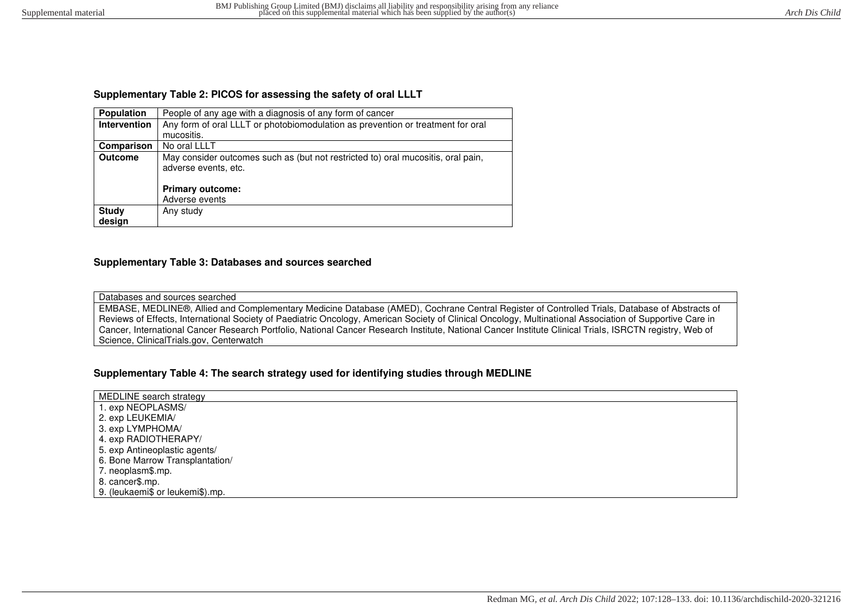## **Supplementary Table 2: PICOS for assessing the safety of oral LLLT**

| <b>Population</b>   | People of any age with a diagnosis of any form of cancer                                                 |  |  |  |  |  |
|---------------------|----------------------------------------------------------------------------------------------------------|--|--|--|--|--|
| <b>Intervention</b> | Any form of oral LLLT or photobiomodulation as prevention or treatment for oral                          |  |  |  |  |  |
|                     | mucositis.                                                                                               |  |  |  |  |  |
| Comparison          | No oral LLLT                                                                                             |  |  |  |  |  |
| <b>Outcome</b>      | May consider outcomes such as (but not restricted to) oral mucositis, oral pain,<br>adverse events, etc. |  |  |  |  |  |
|                     | <b>Primary outcome:</b>                                                                                  |  |  |  |  |  |
|                     | Adverse events                                                                                           |  |  |  |  |  |
| <b>Study</b>        | Any study                                                                                                |  |  |  |  |  |
| design              |                                                                                                          |  |  |  |  |  |

### **Supplementary Table 3: Databases and sources searched**

#### Databases and sources searched

EMBASE, MEDLINE®, Allied and Complementary Medicine Database (AMED), Cochrane Central Register of Controlled Trials, Database of Abstracts of Reviews of Effects, International Society of Paediatric Oncology, American Society of Clinical Oncology, Multinational Association of Supportive Care in Cancer, International Cancer Research Portfolio, National Cancer Research Institute, National Cancer Institute Clinical Trials, ISRCTN registry, Web of Science, ClinicalTrials.gov, Centerwatch

## **Supplementary Table 4: The search strategy used for identifying studies through MEDLINE**

| MEDLINE search strategy          |  |
|----------------------------------|--|
| 1. exp NEOPLASMS/                |  |
| 2. exp LEUKEMIA/                 |  |
| 3. exp LYMPHOMA/                 |  |
| 4. exp RADIOTHERAPY/             |  |
| 5. exp Antineoplastic agents/    |  |
| 6. Bone Marrow Transplantation/  |  |
| 7. neoplasm\$.mp.                |  |
| 8. cancer\$.mp.                  |  |
| 9. (leukaemi\$ or leukemi\$).mp. |  |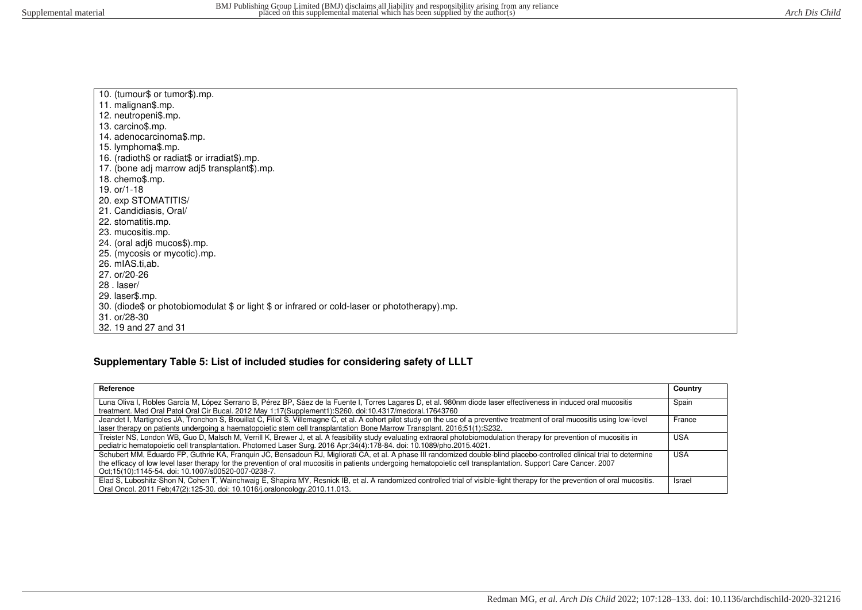| 10. (tumour\$ or tumor\$).mp.                                                                 |
|-----------------------------------------------------------------------------------------------|
| 11. malignan\$.mp.                                                                            |
| 12. neutropeni\$.mp.                                                                          |
| 13. carcino\$.mp.                                                                             |
| 14. adenocarcinoma\$.mp.                                                                      |
| 15. lymphoma\$.mp.                                                                            |
| 16. (radioth\$ or radiat\$ or irradiat\$).mp.                                                 |
| 17. (bone adj marrow adj5 transplant\$).mp.                                                   |
| 18. chemo\$.mp.                                                                               |
| 19. $or/1-18$                                                                                 |
| 20. exp STOMATITIS/                                                                           |
| 21. Candidiasis, Oral/                                                                        |
| 22. stomatitis.mp.                                                                            |
| 23. mucositis.mp.                                                                             |
| 24. (oral adj6 mucos\$).mp.                                                                   |
| 25. (mycosis or mycotic).mp.                                                                  |
| 26. mIAS.ti.ab.                                                                               |
| 27. or/20-26                                                                                  |
| $28$ . laser/                                                                                 |
| 29. laser\$.mp.                                                                               |
| 30. (diode\$ or photobiomodulat \$ or light \$ or infrared or cold-laser or phototherapy).mp. |
| 31. or/28-30                                                                                  |
| 32. 19 and 27 and 31                                                                          |
|                                                                                               |

# **Supplementary Table 5: List of included studies for considering safety of LLLT**

| Reference                                                                                                                                                                                                                                                                                                                                                                                            | Country |
|------------------------------------------------------------------------------------------------------------------------------------------------------------------------------------------------------------------------------------------------------------------------------------------------------------------------------------------------------------------------------------------------------|---------|
| Luna Oliva I, Robles García M, López Serrano B, Pérez BP, Sáez de la Fuente I, Torres Lagares D, et al. 980nm diode laser effectiveness in induced oral mucositis<br>treatment. Med Oral Patol Oral Cir Bucal. 2012 May 1:17(Supplement1): S260. doi:10.4317/medoral.17643760                                                                                                                        | Spain   |
| Jeandet I, Martignoles JA, Tronchon S, Brouillat C, Filiol S, Villemagne C, et al. A cohort pilot study on the use of a preventive treatment of oral mucositis using low-level<br>laser therapy on patients undergoing a haematopoietic stem cell transplantation Bone Marrow Transplant. 2016;51(1):S232.                                                                                           | France  |
| Treister NS, London WB, Guo D, Malsch M, Verrill K, Brewer J, et al. A feasibility study evaluating extraoral photobiomodulation therapy for prevention of mucositis in<br>pediatric hematopoietic cell transplantation. Photomed Laser Surg. 2016 Apr;34(4):178-84. doi: 10.1089/pho.2015.4021.                                                                                                     | USA     |
| Schubert MM, Eduardo FP, Guthrie KA, Franquin JC, Bensadoun RJ, Migliorati CA, et al. A phase III randomized double-blind placebo-controlled clinical trial to determine<br>the efficacy of low level laser therapy for the prevention of oral mucositis in patients undergoing hematopoietic cell transplantation. Support Care Cancer. 2007<br>Oct:15(10):1145-54. doi: 10.1007/s00520-007-0238-7. | USA     |
| Elad S, Luboshitz-Shon N, Cohen T, Wainchwaig E, Shapira MY, Resnick IB, et al. A randomized controlled trial of visible-light therapy for the prevention of oral mucositis.<br>Oral Oncol. 2011 Feb; 47(2): 125-30. doi: 10.1016/j.oraloncology. 2010.11.013.                                                                                                                                       | Israel  |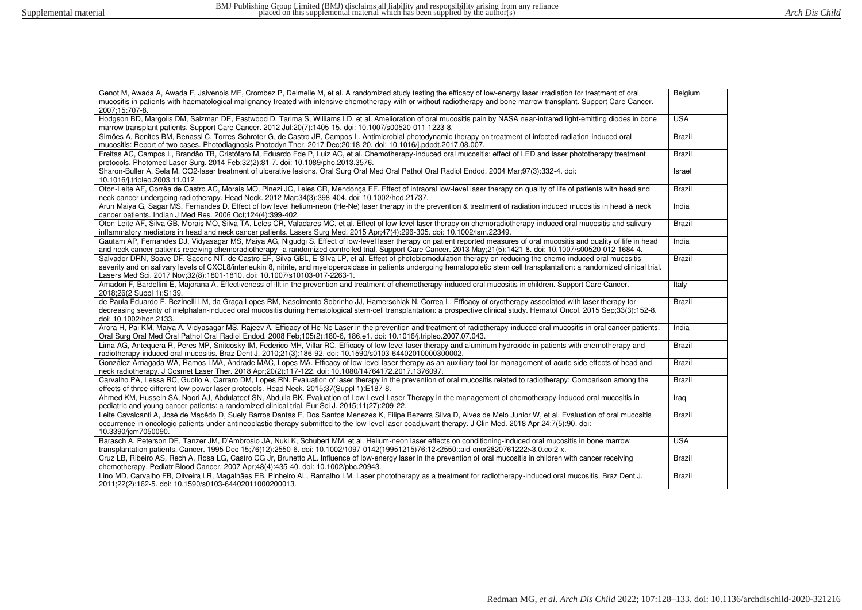| Genot M, Awada A, Awada F, Jaivenois MF, Crombez P, Delmelle M, et al. A randomized study testing the efficacy of low-energy laser irradiation for treatment of oral<br>mucositis in patients with haematological malignancy treated with intensive chemotherapy with or without radiotherapy and bone marrow transplant. Support Care Cancer.<br>2007:15:707-8.                                                                     | Belgium       |
|--------------------------------------------------------------------------------------------------------------------------------------------------------------------------------------------------------------------------------------------------------------------------------------------------------------------------------------------------------------------------------------------------------------------------------------|---------------|
| Hodgson BD, Margolis DM, Salzman DE, Eastwood D, Tarima S, Williams LD, et al. Amelioration of oral mucositis pain by NASA near-infrared light-emitting diodes in bone<br>marrow transplant patients. Support Care Cancer. 2012 Jul:20(7):1405-15. doi: 10.1007/s00520-011-1223-8.                                                                                                                                                   | <b>USA</b>    |
| Simões A, Benites BM, Benassi C, Torres-Schroter G, de Castro JR, Campos L. Antimicrobial photodynamic therapy on treatment of infected radiation-induced oral<br>mucositis: Report of two cases. Photodiagnosis Photodyn Ther. 2017 Dec;20:18-20. doi: 10.1016/j.pdpdt.2017.08.007.                                                                                                                                                 | <b>Brazil</b> |
| Freitas AC, Campos L, Brandão TB, Cristófaro M, Eduardo Fde P, Luiz AC, et al. Chemotherapy-induced oral mucositis: effect of LED and laser phototherapy treatment<br>protocols. Photomed Laser Surg. 2014 Feb: 32(2): 81-7. doi: 10.1089/pho.2013.3576.                                                                                                                                                                             | <b>Brazil</b> |
| Sharon-Buller A, Sela M. CO2-laser treatment of ulcerative lesions. Oral Surg Oral Med Oral Pathol Oral Radiol Endod. 2004 Mar;97(3):332-4. doi:<br>10.1016/j.tripleo.2003.11.012                                                                                                                                                                                                                                                    | Israel        |
| Oton-Leite AF, Corrêa de Castro AC, Morais MO, Pinezi JC, Leles CR, Mendonça EF. Effect of intraoral low-level laser therapy on quality of life of patients with head and<br>neck cancer undergoing radiotherapy. Head Neck. 2012 Mar;34(3):398-404. doi: 10.1002/hed.21737.                                                                                                                                                         | Brazil        |
| Arun Maiya G, Sagar MS, Fernandes D. Effect of low level helium-neon (He-Ne) laser therapy in the prevention & treatment of radiation induced mucositis in head & neck<br>cancer patients. Indian J Med Res. 2006 Oct: 124(4): 399-402.                                                                                                                                                                                              | India         |
| Oton-Leite AF, Silva GB, Morais MO, Silva TA, Leles CR, Valadares MC, et al. Effect of low-level laser therapy on chemoradiotherapy-induced oral mucositis and salivary<br>inflammatory mediators in head and neck cancer patients. Lasers Surg Med. 2015 Apr;47(4):296-305. doi: 10.1002/lsm.22349.                                                                                                                                 | <b>Brazil</b> |
| Gautam AP, Fernandes DJ, Vidyasagar MS, Maiya AG, Nigudgi S. Effect of low-level laser therapy on patient reported measures of oral mucositis and quality of life in head<br>and neck cancer patients receiving chemoradiotherapy-a randomized controlled trial. Support Care Cancer. 2013 May;21(5):1421-8. doi: 10.1007/s00520-012-1684-4.                                                                                         | India         |
| Salvador DRN, Soave DF, Sacono NT, de Castro EF, Silva GBL, E Silva LP, et al. Effect of photobiomodulation therapy on reducing the chemo-induced oral mucositis<br>severity and on salivary levels of CXCL8/interleukin 8, nitrite, and myeloperoxidase in patients undergoing hematopoietic stem cell transplantation: a randomized clinical trial.<br>Lasers Med Sci. 2017 Nov; 32(8): 1801-1810. doi: 10.1007/s10103-017-2263-1. | <b>Brazil</b> |
| Amadori F, Bardellini E, Majorana A. Effectiveness of Illt in the prevention and treatment of chemotherapy-induced oral mucositis in children. Support Care Cancer.<br>2018;26(2 Suppl 1):S139.                                                                                                                                                                                                                                      | Italy         |
| de Paula Eduardo F, Bezinelli LM, da Graca Lopes RM, Nascimento Sobrinho JJ, Hamerschlak N, Correa L. Efficacy of cryotherapy associated with laser therapy for<br>decreasing severity of melphalan-induced oral mucositis during hematological stem-cell transplantation: a prospective clinical study. Hematol Oncol. 2015 Sep;33(3):152-8.<br>doi: 10.1002/hon.2133.                                                              | <b>Brazil</b> |
| Arora H, Pai KM, Maiya A, Vidyasagar MS, Rajeev A. Efficacy of He-Ne Laser in the prevention and treatment of radiotherapy-induced oral mucositis in oral cancer patients.<br>Oral Surg Oral Med Oral Pathol Oral Radiol Endod. 2008 Feb;105(2):180-6, 186.e1. doi: 10.1016/j.tripleo.2007.07.043.                                                                                                                                   | India         |
| Lima AG, Antequera R, Peres MP, Snitcosky IM, Federico MH, Villar RC. Efficacy of low-level laser therapy and aluminum hydroxide in patients with chemotherapy and<br>radiotherapy-induced oral mucositis. Braz Dent J. 2010;21(3):186-92. doi: 10.1590/s0103-64402010000300002.                                                                                                                                                     | Brazil        |
| González-Arriagada WA, Ramos LMA, Andrade MAC, Lopes MA. Efficacy of low-level laser therapy as an auxiliary tool for management of acute side effects of head and<br>neck radiotherapy. J Cosmet Laser Ther. 2018 Apr;20(2):117-122. doi: 10.1080/14764172.2017.1376097.                                                                                                                                                            | <b>Brazil</b> |
| Carvalho PA, Lessa RC, Guollo A, Carraro DM, Lopes RN. Evaluation of laser therapy in the prevention of oral mucositis related to radiotherapy: Comparison among the<br>effects of three different low-power laser protocols. Head Neck. 2015;37(Suppl 1):E187-8.                                                                                                                                                                    | <b>Brazil</b> |
| Ahmed KM, Hussein SA, Noori AJ, Abdulateef SN, Abdulla BK. Evaluation of Low Level Laser Therapy in the management of chemotherapy-induced oral mucositis in<br>pediatric and young cancer patients: a randomized clinical trial. Eur Sci J. 2015;11(27):209-22.                                                                                                                                                                     | Iraq          |
| Leite Cavalcanti A, José de Macêdo D, Suely Barros Dantas F, Dos Santos Menezes K, Filipe Bezerra Silva D, Alves de Melo Junior W, et al. Evaluation of oral mucositis<br>occurrence in oncologic patients under antineoplastic therapy submitted to the low-level laser coadjuvant therapy. J Clin Med. 2018 Apr 24;7(5):90. doi:<br>10.3390/jcm7050090.                                                                            | <b>Brazil</b> |
| Barasch A, Peterson DE, Tanzer JM, D'Ambrosio JA, Nuki K, Schubert MM, et al. Helium-neon laser effects on conditioning-induced oral mucositis in bone marrow<br>transplantation patients. Cancer. 1995 Dec 15;76(12):2550-6. doi: 10.1002/1097-0142(19951215)76:12<2550::aid-cncr2820761222>3.0.co;2-x.                                                                                                                             | <b>USA</b>    |
| Cruz LB, Ribeiro AS, Rech A, Rosa LG, Castro CG Jr, Brunetto AL. Influence of low-energy laser in the prevention of oral mucositis in children with cancer receiving<br>chemotherapy. Pediatr Blood Cancer. 2007 Apr:48(4):435-40. doi: 10.1002/pbc.20943.                                                                                                                                                                           | <b>Brazil</b> |
| Lino MD, Carvalho FB, Oliveira LR, Magalhães EB, Pinheiro AL, Ramalho LM. Laser phototherapy as a treatment for radiotherapy-induced oral mucositis. Braz Dent J.<br>2011;22(2):162-5. doi: 10.1590/s0103-64402011000200013.                                                                                                                                                                                                         | Brazil        |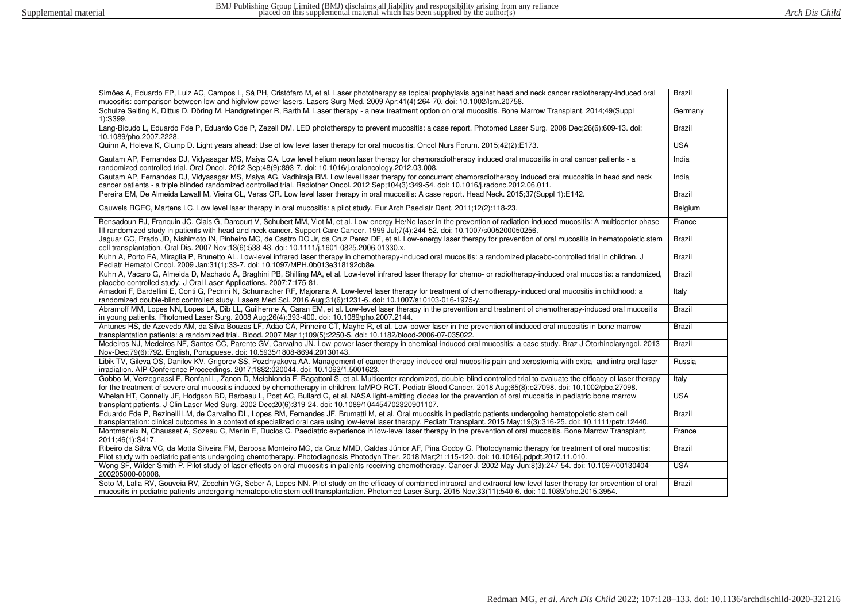| Simões A, Eduardo FP, Luiz AC, Campos L, Sá PH, Cristófaro M, et al. Laser phototherapy as topical prophylaxis against head and neck cancer radiotherapy-induced oral<br>mucositis: comparison between low and high/low power lasers. Lasers Surg Med. 2009 Apr;41(4):264-70. doi: 10.1002/lsm.20758.                                            | Brazil        |
|--------------------------------------------------------------------------------------------------------------------------------------------------------------------------------------------------------------------------------------------------------------------------------------------------------------------------------------------------|---------------|
| Schulze Selting K, Dittus D, Döring M, Handgretinger R, Barth M. Laser therapy - a new treatment option on oral mucositis. Bone Marrow Transplant. 2014:49(Suppl<br>1):S399.                                                                                                                                                                     | Germany       |
| Lang-Bicudo L, Eduardo Fde P, Eduardo Cde P, Zezell DM. LED phototherapy to prevent mucositis: a case report. Photomed Laser Surg. 2008 Dec;26(6):609-13. doi:<br>10.1089/pho.2007.2228.                                                                                                                                                         | Brazil        |
| Quinn A, Holeva K, Clump D. Light years ahead: Use of low level laser therapy for oral mucositis. Oncol Nurs Forum. 2015;42(2):E173.                                                                                                                                                                                                             | <b>USA</b>    |
| Gautam AP, Fernandes DJ, Vidyasagar MS, Maiya GA. Low level helium neon laser therapy for chemoradiotherapy induced oral mucositis in oral cancer patients - a<br>randomized controlled trial. Oral Oncol. 2012 Sep;48(9):893-7. doi: 10.1016/j.oraloncology.2012.03.008.                                                                        | India         |
| Gautam AP, Fernandes DJ, Vidyasagar MS, Maiya AG, Vadhiraja BM. Low level laser therapy for concurrent chemoradiotherapy induced oral mucositis in head and neck<br>cancer patients - a triple blinded randomized controlled trial. Radiother Oncol. 2012 Sep;104(3):349-54. doi: 10.1016/j.radonc.2012.06.011.                                  | India         |
| Pereira EM, De Almeida Lawall M, Vieira CL, Veras GR. Low level laser therapy in oral mucositis: A case report. Head Neck. 2015;37(Suppl 1):E142.                                                                                                                                                                                                | <b>Brazil</b> |
| Cauwels RGEC, Martens LC. Low level laser therapy in oral mucositis: a pilot study. Eur Arch Paediatr Dent. 2011;12(2):118-23.                                                                                                                                                                                                                   | Belgium       |
| Bensadoun RJ, Franquin JC, Ciais G, Darcourt V, Schubert MM, Viot M, et al. Low-energy He/Ne laser in the prevention of radiation-induced mucositis: A multicenter phase<br>III randomized study in patients with head and neck cancer. Support Care Cancer. 1999 Jul;7(4):244-52. doi: 10.1007/s005200050256.                                   | France        |
| Jaguar GC, Prado JD, Nishimoto IN, Pinheiro MC, de Castro DO Jr, da Cruz Perez DE, et al. Low-energy laser therapy for prevention of oral mucositis in hematopoietic stem<br>cell transplantation. Oral Dis. 2007 Nov;13(6):538-43. doi: 10.1111/j.1601-0825.2006.01330.x.                                                                       | <b>Brazil</b> |
| Kuhn A, Porto FA, Miraglia P, Brunetto AL. Low-level infrared laser therapy in chemotherapy-induced oral mucositis: a randomized placebo-controlled trial in children. J<br>Pediatr Hematol Oncol. 2009 Jan;31(1):33-7. doi: 10.1097/MPH.0b013e318192cb8e.                                                                                       | <b>Brazil</b> |
| Kuhn A, Vacaro G, Almeida D, Machado Á, Braghini PB, Shilling MA, et al. Low-level infrared laser therapy for chemo- or radiotherapy-induced oral mucositis: a randomized,<br>placebo-controlled study. J Oral Laser Applications. 2007;7:175-81.                                                                                                | Brazil        |
| Amadori F, Bardellini E, Conti G, Pedrini N, Schumacher RF, Majorana A. Low-level laser therapy for treatment of chemotherapy-induced oral mucositis in childhood: a<br>randomized double-blind controlled study. Lasers Med Sci. 2016 Aug;31(6):1231-6. doi: 10.1007/s10103-016-1975-y.                                                         | Italy         |
| Abramoff MM, Lopes NN, Lopes LA, Dib LL, Guilherme A, Caran EM, et al. Low-level laser therapy in the prevention and treatment of chemotherapy-induced oral mucositis<br>in young patients. Photomed Laser Surg. 2008 Aug;26(4):393-400. doi: 10.1089/pho.2007.2144.                                                                             | Brazil        |
| Antunes HS, de Azevedo AM, da Silva Bouzas LF, Adão CA, Pinheiro CT, Mayhe R, et al. Low-power laser in the prevention of induced oral mucositis in bone marrow<br>transplantation patients: a randomized trial. Blood. 2007 Mar 1;109(5):2250-5. doi: 10.1182/blood-2006-07-035022.                                                             | <b>Brazil</b> |
| Medeiros NJ, Medeiros NF, Santos CC, Parente GV, Carvalho JN. Low-power laser therapy in chemical-induced oral mucositis: a case study. Braz J Otorhinolaryngol. 2013<br>Nov-Dec;79(6):792. English, Portuguese. doi: 10.5935/1808-8694.20130143.                                                                                                | <b>Brazil</b> |
| Libik TV, Gileva OS, Danilov KV, Grigorev SS, Pozdnyakova AA. Management of cancer therapy-induced oral mucositis pain and xerostomia with extra- and intra oral laser<br>irradiation. AIP Conference Proceedings. 2017;1882:020044. doi: 10.1063/1.5001623.                                                                                     | Russia        |
| Gobbo M, Verzegnassi F, Ronfani L, Zanon D, Melchionda F, Bagattoni S, et al. Multicenter randomized, double-blind controlled trial to evaluate the efficacy of laser therapy<br>for the treatment of severe oral mucositis induced by chemotherapy in children: laMPO RCT. Pediatr Blood Cancer. 2018 Aug;65(8):e27098. doi: 10.1002/pbc.27098. | Italy         |
| Whelan HT, Connelly JF, Hodgson BD, Barbeau L, Post AC, Bullard G, et al. NASA light-emitting diodes for the prevention of oral mucositis in pediatric bone marrow<br>transplant patients. J Clin Laser Med Surg. 2002 Dec; 20(6): 319-24. doi: 10.1089/104454702320901107.                                                                      | <b>USA</b>    |
| Eduardo Fde P, Bezinelli LM, de Carvalho DL, Lopes RM, Fernandes JF, Brumatti M, et al. Oral mucositis in pediatric patients undergoing hematopoietic stem cell<br>transplantation: clinical outcomes in a context of specialized oral care using low-level laser therapy. Pediatr Transplant. 2015 May;19(3):316-25. doi: 10.1111/petr.12440.   | Brazil        |
| Montmaneix N, Chausset A, Sozeau C, Merlin E, Duclos C. Paediatric experience in low-level laser therapy in the prevention of oral mucositis. Bone Marrow Transplant.<br>2011;46(1):S417.                                                                                                                                                        | France        |
| Ribeiro da Silva VC, da Motta Silveira FM, Barbosa Monteiro MG, da Cruz MMD, Caldas Júnior AF, Pina Godoy G. Photodynamic therapy for treatment of oral mucositis:<br>Pilot study with pediatric patients undergoing chemotherapy. Photodiagnosis Photodyn Ther. 2018 Mar;21:115-120. doi: 10.1016/j.pdpdt.2017.11.010.                          | Brazil        |
| Wong SF, Wilder-Smith P. Pilot study of laser effects on oral mucositis in patients receiving chemotherapy. Cancer J. 2002 May-Jun:8(3):247-54. doi: 10.1097/00130404-<br>200205000-00008.                                                                                                                                                       | <b>USA</b>    |
| Soto M, Lalla RV, Gouveia RV, Zecchin VG, Seber A, Lopes NN. Pilot study on the efficacy of combined intraoral and extraoral low-level laser therapy for prevention of oral<br>mucositis in pediatric patients undergoing hematopoietic stem cell transplantation. Photomed Laser Surg. 2015 Nov;33(11):540-6. doi: 10.1089/pho.2015.3954.       | <b>Brazil</b> |
|                                                                                                                                                                                                                                                                                                                                                  |               |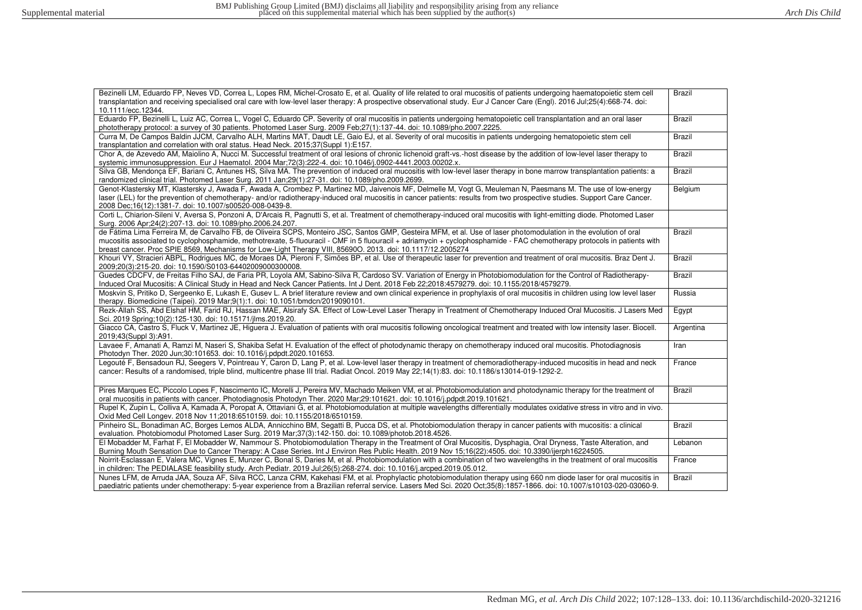| Bezinelli LM, Eduardo FP, Neves VD, Correa L, Lopes RM, Michel-Crosato E, et al. Quality of life related to oral mucositis of patients undergoing haematopoietic stem cell<br>transplantation and receiving specialised oral care with low-level laser therapy: A prospective observational study. Eur J Cancer Care (Engl). 2016 Jul:25(4):668-74. doi:<br>10.1111/ecc.12344.                                                                               | Brazil        |
|--------------------------------------------------------------------------------------------------------------------------------------------------------------------------------------------------------------------------------------------------------------------------------------------------------------------------------------------------------------------------------------------------------------------------------------------------------------|---------------|
| Eduardo FP, Bezinelli L, Luiz AC, Correa L, Vogel C, Eduardo CP. Severity of oral mucositis in patients undergoing hematopoietic cell transplantation and an oral laser<br>phototherapy protocol: a survey of 30 patients. Photomed Laser Surg. 2009 Feb;27(1):137-44. doi: 10.1089/pho.2007.2225.                                                                                                                                                           | Brazil        |
| Curra M, De Campos Baldin JJCM, Carvalho ALH, Martins MAT, Daudt LE, Gaio EJ, et al. Severity of oral mucositis in patients undergoing hematopoietic stem cell<br>transplantation and correlation with oral status. Head Neck. 2015;37(Suppl 1):E157.                                                                                                                                                                                                        | <b>Brazil</b> |
| Chor A, de Azevedo AM, Majolino A, Nucci M. Successful treatment of oral lesions of chronic lichenoid graft-vs.-host disease by the addition of low-level laser therapy to<br>systemic immunosuppression. Eur J Haematol. 2004 Mar;72(3):222-4. doi: 10.1046/j.0902-4441.2003.00202.x.                                                                                                                                                                       | Brazil        |
| Silva GB, Mendonca EF, Bariani C, Antunes HS, Silva MA. The prevention of induced oral mucositis with low-level laser therapy in bone marrow transplantation patients: a<br>randomized clinical trial. Photomed Laser Surg. 2011 Jan;29(1):27-31. doi: 10.1089/pho.2009.2699.                                                                                                                                                                                | Brazil        |
| Genot-Klastersky MT, Klastersky J, Awada F, Awada A, Crombez P, Martinez MD, Jaivenois MF, Delmelle M, Vogt G, Meuleman N, Paesmans M. The use of low-energy<br>laser (LEL) for the prevention of chemotherapy- and/or radiotherapy-induced oral mucositis in cancer patients: results from two prospective studies. Support Care Cancer.<br>2008 Dec;16(12):1381-7. doi: 10.1007/s00520-008-0439-8.                                                         | Belgium       |
| Corti L. Chiarion-Sileni V, Aversa S, Ponzoni A, D'Arcais R, Pagnutti S, et al. Treatment of chemotherapy-induced oral mucositis with light-emitting diode. Photomed Laser<br>Surg. 2006 Apr;24(2):207-13. doi: 10.1089/pho.2006.24.207.                                                                                                                                                                                                                     |               |
| de Fátima Lima Ferreira M, de Carvalho FB, de Oliveira SCPS, Monteiro JSC, Santos GMP, Gesteira MFM, et al. Use of laser photomodulation in the evolution of oral<br>mucositis associated to cyclophosphamide, methotrexate, 5-fluouracil - CMF in 5 fluouracil + adriamycin + cyclophosphamide - FAC chemotherapy protocols in patients with<br>breast cancer. Proc SPIE 8569, Mechanisms for Low-Light Therapy VIII, 85690O. 2013. doi: 10.1117/12.2005274 | <b>Brazil</b> |
| Khouri VY, Stracieri ABPL, Rodrigues MC, de Moraes DA, Pieroni F, Simões BP, et al. Use of therapeutic laser for prevention and treatment of oral mucositis. Braz Dent J.<br>2009;20(3):215-20. doi: 10.1590/S0103-64402009000300008.                                                                                                                                                                                                                        | Brazil        |
| Guedes CDCFV, de Freitas Filho SAJ, de Faria PR, Loyola AM, Sabino-Silva R, Cardoso SV. Variation of Energy in Photobiomodulation for the Control of Radiotherapy-<br>Induced Oral Mucositis: A Clinical Study in Head and Neck Cancer Patients. Int J Dent. 2018 Feb 22;2018:4579279. doi: 10.1155/2018/4579279.                                                                                                                                            | <b>Brazil</b> |
| Moskvin S, Pritiko D, Sergeenko E, Lukash E, Gusev L. A brief literature review and own clinical experience in prophylaxis of oral mucositis in children using low level laser<br>therapy. Biomedicine (Taipei). 2019 Mar;9(1):1. doi: 10.1051/bmdcn/2019090101.                                                                                                                                                                                             | Russia        |
| Rezk-Allah SS, Abd Elshaf HM, Farid RJ, Hassan MAE, Alsirafy SA. Effect of Low-Level Laser Therapy in Treatment of Chemotherapy Induced Oral Mucositis. J Lasers Med<br>Sci. 2019 Spring; 10(2): 125-130. doi: 10.15171/jlms. 2019.20.                                                                                                                                                                                                                       | Egypt         |
| Giacco CA, Castro S, Fluck V, Martinez JE, Higuera J. Evaluation of patients with oral mucositis following oncological treatment and treated with low intensity laser. Biocell.<br>2019;43(Suppl 3):A91.                                                                                                                                                                                                                                                     | Argentina     |
| Lavaee F, Amanati A, Ramzi M, Naseri S, Shakiba Sefat H. Evaluation of the effect of photodynamic therapy on chemotherapy induced oral mucositis. Photodiagnosis<br>Photodyn Ther. 2020 Jun;30:101653. doi: 10.1016/j.pdpdt.2020.101653.                                                                                                                                                                                                                     | Iran          |
| Legouté F, Bensadoun RJ, Seegers V, Pointreau Y, Caron D, Lang P, et al. Low-level laser therapy in treatment of chemoradiotherapy-induced mucositis in head and neck<br>cancer: Results of a randomised, triple blind, multicentre phase III trial. Radiat Oncol. 2019 May 22;14(1):83. doi: 10.1186/s13014-019-1292-2.                                                                                                                                     | France        |
| Pires Marques EC, Piccolo Lopes F, Nascimento IC, Morelli J, Pereira MV, Machado Meiken VM, et al. Photobiomodulation and photodynamic therapy for the treatment of<br>oral mucositis in patients with cancer. Photodiagnosis Photodyn Ther. 2020 Mar;29:101621. doi: 10.1016/j.pdpdt.2019.101621.                                                                                                                                                           | Brazil        |
| Rupel K, Zupin L, Colliva A, Kamada A, Poropat A, Ottaviani G, et al. Photobiomodulation at multiple wavelengths differentially modulates oxidative stress in vitro and in vivo.<br>Oxid Med Cell Longev. 2018 Nov 11:2018:6510159. doi: 10.1155/2018/6510159.                                                                                                                                                                                               |               |
| Pinheiro SL, Bonadiman AC, Borges Lemos ALDA, Annicchino BM, Segatti B, Pucca DS, et al. Photobiomodulation therapy in cancer patients with mucositis: a clinical<br>evaluation. Photobiomodul Photomed Laser Surg. 2019 Mar;37(3):142-150. doi: 10.1089/photob.2018.4526.                                                                                                                                                                                   | <b>Brazil</b> |
| El Mobadder M, Farhat F, El Mobadder W, Nammour S. Photobiomodulation Therapy in the Treatment of Oral Mucositis, Dysphagia, Oral Dryness, Taste Alteration, and<br>Burning Mouth Sensation Due to Cancer Therapy: A Case Series. Int J Environ Res Public Health. 2019 Nov 15;16(22):4505. doi: 10.3390/ijerph16224505.                                                                                                                                     | Lebanon       |
| Noirrit-Esclassan E, Valera MC, Vignes E, Munzer C, Bonal S, Daries M, et al. Photobiomodulation with a combination of two wavelengths in the treatment of oral mucositis<br>in children: The PEDIALASE feasibility study. Arch Pediatr. 2019 Jul;26(5):268-274. doi: 10.1016/j.arcped.2019.05.012.                                                                                                                                                          | France        |
| Nunes LFM, de Arruda JAA, Souza AF, Silva RCC, Lanza CRM, Kakehasi FM, et al. Prophylactic photobiomodulation therapy using 660 nm diode laser for oral mucositis in<br>paediatric patients under chemotherapy: 5-year experience from a Brazilian referral service. Lasers Med Sci. 2020 Oct:35(8):1857-1866. doi: 10.1007/s10103-020-03060-9.                                                                                                              | Brazil        |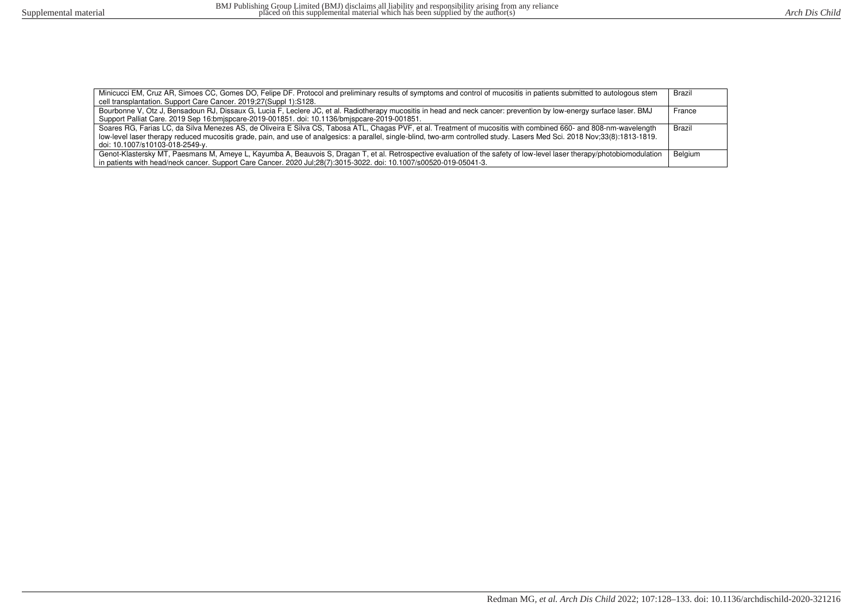| Minicucci EM, Cruz AR, Simoes CC, Gomes DO, Felipe DF. Protocol and preliminary results of symptoms and control of mucositis in patients submitted to autologous stem       | Brazil  |
|-----------------------------------------------------------------------------------------------------------------------------------------------------------------------------|---------|
| cell transplantation. Support Care Cancer. 2019;27(Suppl 1):S128.                                                                                                           |         |
| Bourbonne V, Otz J, Bensadoun RJ, Dissaux G, Lucia F, Leclere JC, et al. Radiotherapy mucositis in head and neck cancer: prevention by low-energy surface laser. BMJ        | France  |
| Support Palliat Care. 2019 Sep 16:bmjspcare-2019-001851. doi: 10.1136/bmjspcare-2019-001851.                                                                                |         |
| Soares RG, Farias LC, da Silva Menezes AS, de Oliveira E Silva CS, Tabosa ATL, Chagas PVF, et al. Treatment of mucositis with combined 660- and 808-nm-wavelength           | Brazil  |
| low-level laser therapy reduced mucositis grade, pain, and use of analgesics: a parallel, single-blind, two-arm controlled study. Lasers Med Sci. 2018 Nov;33(8):1813-1819. |         |
| doi: 10.1007/s10103-018-2549-γ.                                                                                                                                             |         |
| Genot-Klastersky MT, Paesmans M, Ameye L, Kayumba A, Beauvois S, Dragan T, et al. Retrospective evaluation of the safety of low-level laser therapy/photobiomodulation      | Belgium |
| in patients with head/neck cancer. Support Care Cancer. 2020 Jul;28(7):3015-3022. doi: 10.1007/s00520-019-05041-3.                                                          |         |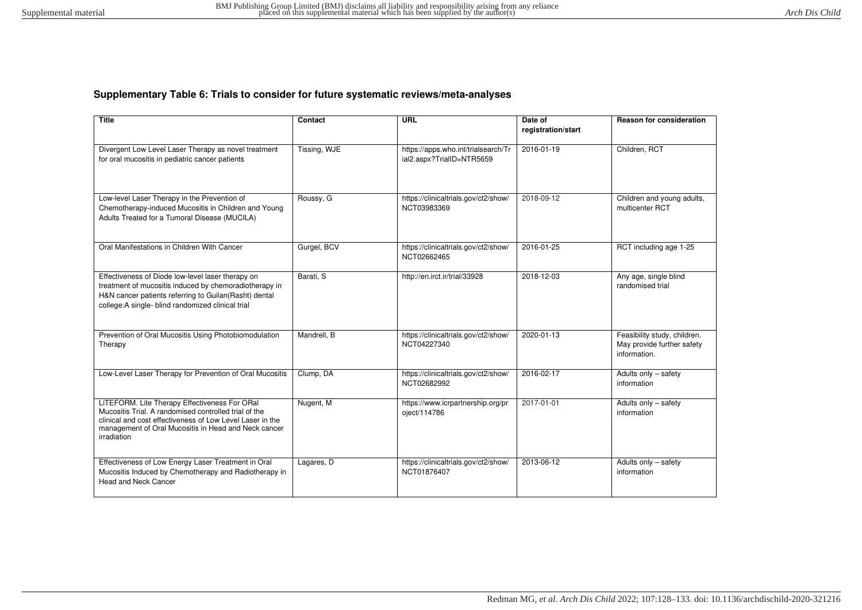# **Supplementary Table 6: Trials to consider for future systematic reviews/meta-analyses**

| <b>Title</b>                                                                                                                                                                                                                               | Contact      | URL                                                              | Date of<br>registration/start | <b>Reason for consideration</b>                                            |
|--------------------------------------------------------------------------------------------------------------------------------------------------------------------------------------------------------------------------------------------|--------------|------------------------------------------------------------------|-------------------------------|----------------------------------------------------------------------------|
| Divergent Low Level Laser Therapy as novel treatment<br>for oral mucositis in pediatric cancer patients                                                                                                                                    | Tissing, WJE | https://apps.who.int/trialsearch/Tr<br>ial2.aspx?TrialID=NTR5659 | 2016-01-19                    | Children, RCT                                                              |
| Low-level Laser Therapy in the Prevention of<br>Chemotherapy-induced Mucositis in Children and Young<br>Adults Treated for a Tumoral Disease (MUCILA)                                                                                      | Roussy, G    | https://clinicaltrials.gov/ct2/show/<br>NCT03983369              | 2018-09-12                    | Children and young adults,<br>multicenter RCT                              |
| Oral Manifestations in Children With Cancer                                                                                                                                                                                                | Gurgel, BCV  | https://clinicaltrials.gov/ct2/show/<br>NCT02662465              | 2016-01-25                    | RCT including age 1-25                                                     |
| Effectiveness of Diode low-level laser therapy on<br>treatment of mucositis induced by chemoradiotherapy in<br>H&N cancer patients referring to Guilan(Rasht) dental<br>college:A single- blind randomized clinical trial                  | Barati, S    | http://en.irct.ir/trial/33928                                    | 2018-12-03                    | Any age, single blind<br>randomised trial                                  |
| Prevention of Oral Mucositis Using Photobiomodulation<br>Therapy                                                                                                                                                                           | Mandrell, B  | https://clinicaltrials.gov/ct2/show/<br>NCT04227340              | 2020-01-13                    | Feasibility study, children.<br>May provide further safety<br>information. |
| Low-Level Laser Therapy for Prevention of Oral Mucositis                                                                                                                                                                                   | Clump, DA    | https://clinicaltrials.gov/ct2/show/<br>NCT02682992              | 2016-02-17                    | Adults only - safety<br>information                                        |
| LITEFORM. Lite Therapy Effectiveness For ORal<br>Mucositis Trial. A randomised controlled trial of the<br>clinical and cost effectiveness of Low Level Laser in the<br>management of Oral Mucositis in Head and Neck cancer<br>irradiation | Nugent, M    | https://www.icrpartnership.org/pr<br>oject/114786                | 2017-01-01                    | Adults only - safety<br>information                                        |
| Effectiveness of Low Energy Laser Treatment in Oral<br>Mucositis Induced by Chemotherapy and Radiotherapy in<br>Head and Neck Cancer                                                                                                       | Lagares, D   | https://clinicaltrials.gov/ct2/show/<br>NCT01876407              | 2013-06-12                    | Adults only - safety<br>information                                        |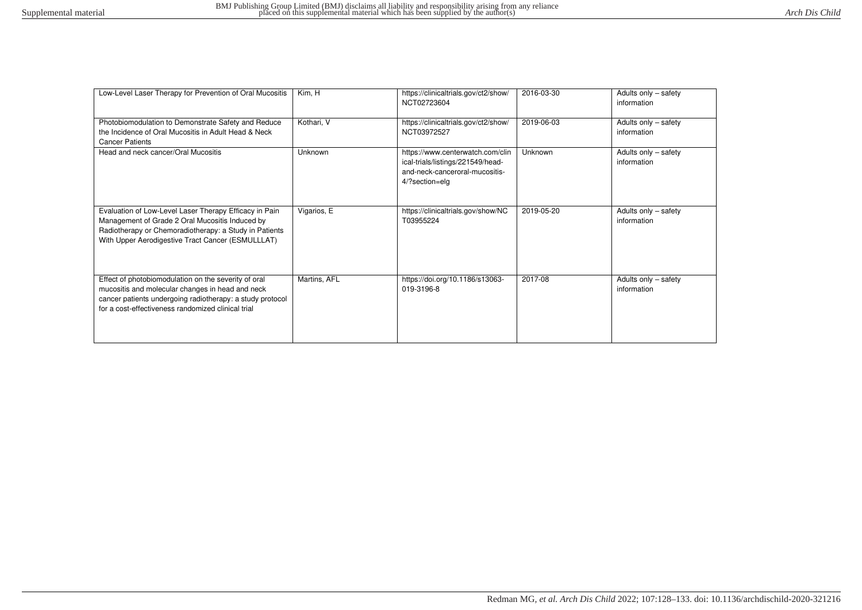| Low-Level Laser Therapy for Prevention of Oral Mucositis                                                                                                                                                                    | Kim, H       | https://clinicaltrials.gov/ct2/show/<br>NCT02723604                                                                       | 2016-03-30  | Adults only - safety<br>information |  |
|-----------------------------------------------------------------------------------------------------------------------------------------------------------------------------------------------------------------------------|--------------|---------------------------------------------------------------------------------------------------------------------------|-------------|-------------------------------------|--|
| Photobiomodulation to Demonstrate Safety and Reduce<br>the Incidence of Oral Mucositis in Adult Head & Neck<br><b>Cancer Patients</b>                                                                                       | Kothari, V   | https://clinicaltrials.gov/ct2/show/<br>NCT03972527                                                                       | 2019-06-03  | Adults only - safety<br>information |  |
| Head and neck cancer/Oral Mucositis                                                                                                                                                                                         | Unknown      | https://www.centerwatch.com/clin<br>ical-trials/listings/221549/head-<br>and-neck-canceroral-mucositis-<br>4/?section=elg | Unknown     | Adults only - safety<br>information |  |
| Evaluation of Low-Level Laser Therapy Efficacy in Pain<br>Management of Grade 2 Oral Mucositis Induced by<br>Radiotherapy or Chemoradiotherapy: a Study in Patients<br>With Upper Aerodigestive Tract Cancer (ESMULLLAT)    | Vigarios, E  | https://clinicaltrials.gov/show/NC<br>T03955224                                                                           | 2019-05-20  | Adults only - safety<br>information |  |
| Effect of photobiomodulation on the severity of oral<br>mucositis and molecular changes in head and neck<br>cancer patients undergoing radiotherapy: a study protocol<br>for a cost-effectiveness randomized clinical trial | Martins, AFL | https://doi.org/10.1186/s13063-<br>019-3196-8                                                                             | $2017 - 08$ | Adults only - safety<br>information |  |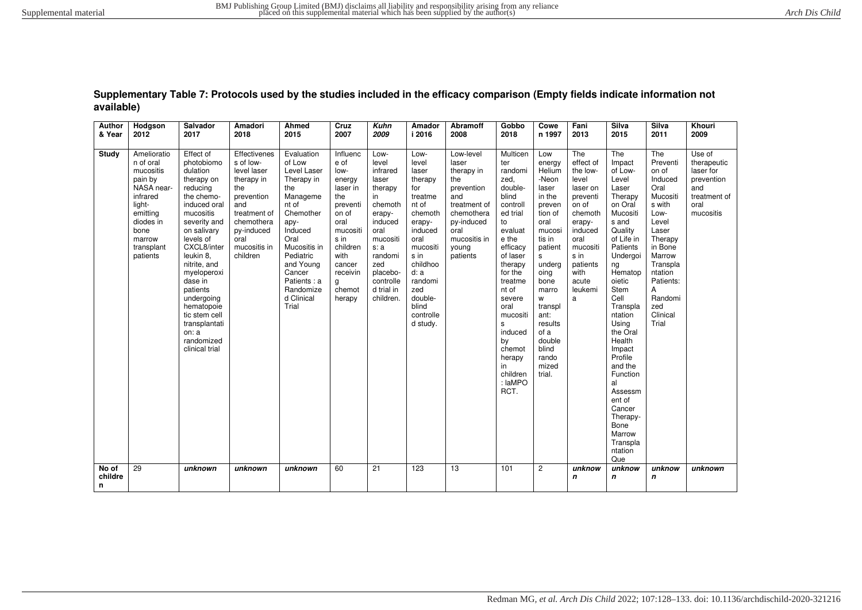| <b>Author</b><br>& Year | Hodgson<br>2012                                                                                                                                           | Salvador<br>2017                                                                                                                                                                                                                                                                                                                              | Amadori<br>2018                                                                                                                                                    | Ahmed<br>2015                                                                                                                                                                                                                 | Cruz<br>2007                                                                                                                                                              | <b>Kuhn</b><br>2009                                                                                                                                                                   | Amador<br>i 2016                                                                                                                                                                                            | Abramoff<br>2008                                                                                                                                      | Gobbo<br>2018                                                                                                                                                                                                                                                                           | Cowe<br>n 1997                                                                                                                                                                                                                                    | Fani<br>2013                                                                                                                                                                    | Silva<br>2015                                                                                                                                                                                                                                                                                                                                                                        | Silva<br>2011                                                                                                                                                                                               | Khouri<br>2009                                                                               |
|-------------------------|-----------------------------------------------------------------------------------------------------------------------------------------------------------|-----------------------------------------------------------------------------------------------------------------------------------------------------------------------------------------------------------------------------------------------------------------------------------------------------------------------------------------------|--------------------------------------------------------------------------------------------------------------------------------------------------------------------|-------------------------------------------------------------------------------------------------------------------------------------------------------------------------------------------------------------------------------|---------------------------------------------------------------------------------------------------------------------------------------------------------------------------|---------------------------------------------------------------------------------------------------------------------------------------------------------------------------------------|-------------------------------------------------------------------------------------------------------------------------------------------------------------------------------------------------------------|-------------------------------------------------------------------------------------------------------------------------------------------------------|-----------------------------------------------------------------------------------------------------------------------------------------------------------------------------------------------------------------------------------------------------------------------------------------|---------------------------------------------------------------------------------------------------------------------------------------------------------------------------------------------------------------------------------------------------|---------------------------------------------------------------------------------------------------------------------------------------------------------------------------------|--------------------------------------------------------------------------------------------------------------------------------------------------------------------------------------------------------------------------------------------------------------------------------------------------------------------------------------------------------------------------------------|-------------------------------------------------------------------------------------------------------------------------------------------------------------------------------------------------------------|----------------------------------------------------------------------------------------------|
| Study                   | Amelioratio<br>n of oral<br>mucositis<br>pain by<br>NASA near-<br>infrared<br>light-<br>emitting<br>diodes in<br>bone<br>marrow<br>transplant<br>patients | Effect of<br>photobiomo<br>dulation<br>therapy on<br>reducing<br>the chemo-<br>induced oral<br>mucositis<br>severity and<br>on salivary<br>levels of<br>CXCL8/inter<br>leukin 8.<br>nitrite, and<br>myeloperoxi<br>dase in<br>patients<br>undergoing<br>hematopoie<br>tic stem cell<br>transplantati<br>on: a<br>randomized<br>clinical trial | Effectivenes<br>s of low-<br>level laser<br>therapy in<br>the<br>prevention<br>and<br>treatment of<br>chemothera<br>py-induced<br>oral<br>mucositis in<br>children | Evaluation<br>of Low<br>Level Laser<br>Therapy in<br>the<br>Manageme<br>nt of<br>Chemother<br>apy-<br>Induced<br>Oral<br>Mucositis in<br>Pediatric<br>and Young<br>Cancer<br>Patients : a<br>Randomize<br>d Clinical<br>Trial | Influenc<br>e of<br>low-<br>energy<br>laser in<br>the<br>preventi<br>on of<br>oral<br>mucositi<br>s in<br>children<br>with<br>cancer<br>receivin<br>g<br>chemot<br>herapy | Low-<br>level<br>infrared<br>laser<br>therapy<br>in<br>chemoth<br>erapy-<br>induced<br>oral<br>mucositi<br>s: a<br>randomi<br>zed<br>placebo-<br>controlle<br>d trial in<br>children. | Low-<br>level<br>laser<br>therapy<br>for<br>treatme<br>nt of<br>chemoth<br>erapy-<br>induced<br>oral<br>mucositi<br>s in<br>childhoo<br>d: a<br>randomi<br>zed<br>double-<br>blind<br>controlle<br>d study. | Low-level<br>laser<br>therapy in<br>the<br>prevention<br>and<br>treatment of<br>chemothera<br>py-induced<br>oral<br>mucositis in<br>young<br>patients | Multicen<br>ter<br>randomi<br>zed,<br>double-<br>blind<br>controll<br>ed trial<br>to<br>evaluat<br>e the<br>efficacy<br>of laser<br>therapy<br>for the<br>treatme<br>nt of<br>severe<br>oral<br>mucositi<br>s<br>induced<br>by<br>chemot<br>herapy<br>in<br>children<br>: laMPO<br>RCT. | Low<br>energy<br>Helium<br>-Neon<br>laser<br>in the<br>preven<br>tion of<br>oral<br>mucosi<br>tis in<br>patient<br>s<br>underg<br>oing<br>bone<br>marro<br>W<br>transpl<br>ant:<br>results<br>of a<br>double<br>blind<br>rando<br>mized<br>trial. | The<br>effect of<br>the low-<br>level<br>laser on<br>preventi<br>on of<br>chemoth<br>erapy-<br>induced<br>oral<br>mucositi<br>s in<br>patients<br>with<br>acute<br>leukemi<br>a | The<br>Impact<br>of Low-<br>Level<br>Laser<br>Therapy<br>on Oral<br>Mucositi<br>s and<br>Quality<br>of Life in<br>Patients<br>Undergoi<br>ng<br>Hematop<br>oietic<br>Stem<br>Cell<br>Transpla<br>ntation<br>Using<br>the Oral<br>Health<br>Impact<br>Profile<br>and the<br>Function<br>al<br>Assessm<br>ent of<br>Cancer<br>Therapy-<br>Bone<br>Marrow<br>Transpla<br>ntation<br>Que | The<br>Preventi<br>on of<br>Induced<br>Oral<br>Mucositi<br>s with<br>Low-<br>Level<br>Laser<br>Therapy<br>in Bone<br>Marrow<br>Transpla<br>ntation<br>Patients:<br>Α<br>Randomi<br>zed<br>Clinical<br>Trial | Use of<br>therapeutic<br>laser for<br>prevention<br>and<br>treatment of<br>oral<br>mucositis |
| No of<br>childre<br>n   | 29                                                                                                                                                        | unknown                                                                                                                                                                                                                                                                                                                                       | unknown                                                                                                                                                            | unknown                                                                                                                                                                                                                       | 60                                                                                                                                                                        | $\overline{21}$                                                                                                                                                                       | 123                                                                                                                                                                                                         | $\overline{13}$                                                                                                                                       | 101                                                                                                                                                                                                                                                                                     | $\mathbf{2}$                                                                                                                                                                                                                                      | unknow<br>$\mathbf n$                                                                                                                                                           | unknow<br>$\mathbf n$                                                                                                                                                                                                                                                                                                                                                                | unknow<br>$\mathbf n$                                                                                                                                                                                       | unknown                                                                                      |

**Supplementary Table 7: Protocols used by the studies included in the efficacy comparison (Empty fields indicate information not available)**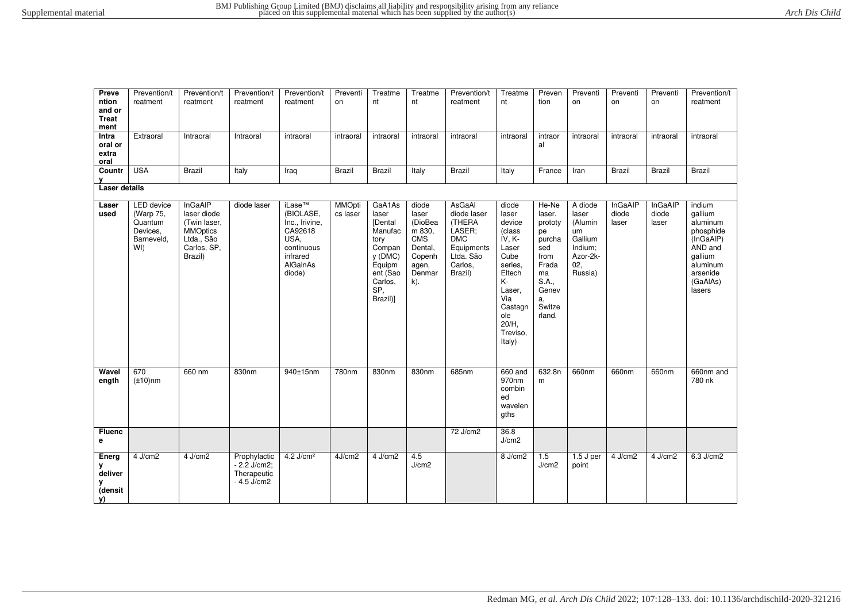| Preve<br>ntion<br>and or<br><b>Treat</b><br>ment<br>Intra<br>oral or<br>extra<br>oral<br>Countr | Prevention/t<br>reatment<br>Extraoral<br><b>USA</b>                        | Prevention/t<br>reatment<br>Intraoral<br><b>Brazil</b>                                                   | Prevention/t<br>reatment<br>Intraoral<br>Italy               | Prevention/t<br>reatment<br>intraoral<br>Iraq                                                                        | Preventi<br>on<br>intraoral<br><b>Brazil</b> | Treatme<br>nt<br>intraoral<br><b>Brazil</b>                                                                                   | Treatme<br>nt<br>intraoral<br>Italy                                                                 | Prevention/t<br>reatment<br>intraoral<br><b>Brazil</b>                                                   | Treatme<br>nt<br>intraoral<br>Italy                                                                                                                           | Preven<br>tion<br>intraor<br>al<br>France                                                                            | Preventi<br>on<br>intraoral<br>Iran                                                   | Preventi<br>on<br>intraoral<br><b>Brazil</b> | Preventi<br>on<br>intraoral<br><b>Brazil</b> | Prevention/t<br>reatment<br>intraoral<br><b>Brazil</b>                                                                      |
|-------------------------------------------------------------------------------------------------|----------------------------------------------------------------------------|----------------------------------------------------------------------------------------------------------|--------------------------------------------------------------|----------------------------------------------------------------------------------------------------------------------|----------------------------------------------|-------------------------------------------------------------------------------------------------------------------------------|-----------------------------------------------------------------------------------------------------|----------------------------------------------------------------------------------------------------------|---------------------------------------------------------------------------------------------------------------------------------------------------------------|----------------------------------------------------------------------------------------------------------------------|---------------------------------------------------------------------------------------|----------------------------------------------|----------------------------------------------|-----------------------------------------------------------------------------------------------------------------------------|
| Laser details                                                                                   |                                                                            |                                                                                                          |                                                              |                                                                                                                      |                                              |                                                                                                                               |                                                                                                     |                                                                                                          |                                                                                                                                                               |                                                                                                                      |                                                                                       |                                              |                                              |                                                                                                                             |
| Laser<br>used                                                                                   | <b>LED</b> device<br>(Warp 75,<br>Quantum<br>Devices,<br>Barneveld,<br>WI) | <b>InGaAIP</b><br>laser diode<br>(Twin laser,<br><b>MMOptics</b><br>Ltda., São<br>Carlos, SP,<br>Brazil) | diode laser                                                  | iLase <sup>™</sup><br>(BIOLASE,<br>Inc., Irivine,<br>CA92618<br>USA,<br>continuous<br>infrared<br>AlGalnAs<br>diode) | <b>MMOpti</b><br>cs laser                    | GaA1As<br>laser<br><b>[Dental</b><br>Manufac<br>tory<br>Compan<br>y (DMC)<br>Equipm<br>ent (Sao<br>Carlos,<br>SP,<br>Brazil)] | diode<br>laser<br>(DioBea<br>m 830,<br><b>CMS</b><br>Dental,<br>Copenh<br>agen,<br>Denmar<br>$k)$ . | AsGaAl<br>diode laser<br>(THERA<br>LASER:<br><b>DMC</b><br>Equipments<br>Ltda. São<br>Carlos,<br>Brazil) | diode<br>laser<br>device<br>(class<br>IV, K-<br>Laser<br>Cube<br>series.<br>Eltech<br>K-<br>Laser,<br>Via<br>Castagn<br>ole<br>$20/H$ ,<br>Treviso,<br>Italy) | He-Ne<br>laser.<br>prototy<br>рe<br>purcha<br>sed<br>from<br>Frada<br>ma<br>S.A.,<br>Genev<br>a,<br>Switze<br>rland. | A diode<br>laser<br>(Alumin<br>um<br>Gallium<br>Indium;<br>Azor-2k-<br>02,<br>Russia) | InGaAIP<br>diode<br>laser                    | InGaAIP<br>diode<br>laser                    | indium<br>qallium<br>aluminum<br>phosphide<br>(InGaAIP)<br>AND and<br>gallium<br>aluminum<br>arsenide<br>(GaAlAs)<br>lasers |
| Wavel<br>ength                                                                                  | 670<br>$(\pm 10)$ nm                                                       | 660 nm                                                                                                   | 830nm                                                        | 940±15nm                                                                                                             | 780nm                                        | 830nm                                                                                                                         | 830nm                                                                                               | 685nm                                                                                                    | 660 and<br>970nm<br>combin<br>ed<br>wavelen<br>gths                                                                                                           | 632.8n<br>m                                                                                                          | 660nm                                                                                 | 660nm                                        | 660nm                                        | 660nm and<br>780 nk                                                                                                         |
| <b>Fluenc</b><br>е                                                                              |                                                                            |                                                                                                          |                                                              |                                                                                                                      |                                              |                                                                                                                               |                                                                                                     | $72$ J/cm2                                                                                               | 36.8<br>J/cm2                                                                                                                                                 |                                                                                                                      |                                                                                       |                                              |                                              |                                                                                                                             |
| Energ<br>у<br>deliver<br>y<br>(densit<br>V)                                                     | 4 J/cm2                                                                    | 4 J/cm2                                                                                                  | Prophylactic<br>$-2.2$ J/cm2;<br>Therapeutic<br>$-4.5$ J/cm2 | $4.2$ J/cm <sup>2</sup>                                                                                              | 4J/cm2                                       | 4 J/cm2                                                                                                                       | 4.5<br>J/cm2                                                                                        |                                                                                                          | 8 J/cm2                                                                                                                                                       | 1.5<br>J/cm2                                                                                                         | $1.5$ J per<br>point                                                                  | $4$ J/cm2                                    | 4 J/cm2                                      | 6.3 J/cm2                                                                                                                   |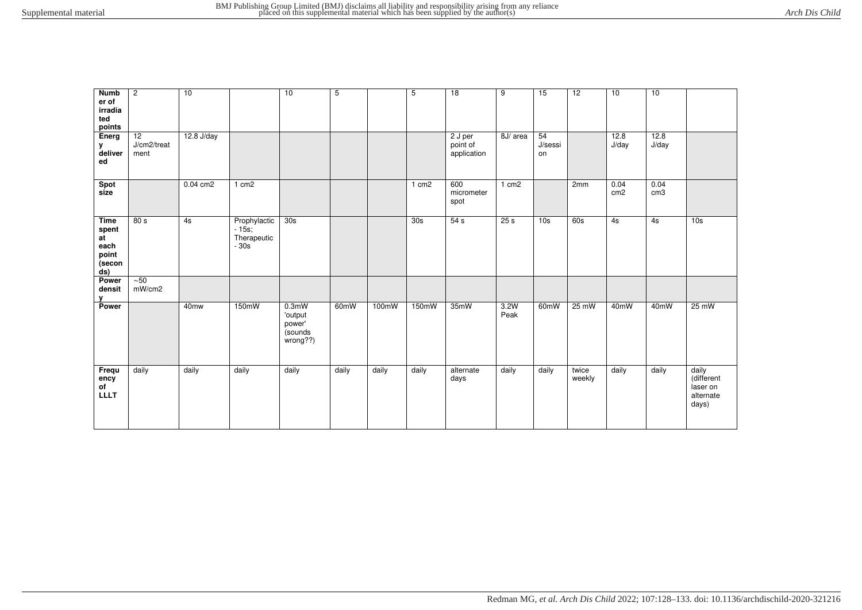| <b>Numb</b><br>er of<br>irradia<br>ted<br>points             | $\overline{c}$                         | 10               |                                                  | 10                                                          | 5                 |       | 5                 | $\overline{18}$                    | 9                 | 15                  | $\overline{12}$ | 10                      | 10                      |                                                       |
|--------------------------------------------------------------|----------------------------------------|------------------|--------------------------------------------------|-------------------------------------------------------------|-------------------|-------|-------------------|------------------------------------|-------------------|---------------------|-----------------|-------------------------|-------------------------|-------------------------------------------------------|
| Energ<br>у<br>deliver<br>ed                                  | $\overline{12}$<br>J/cm2/treat<br>ment | 12.8 J/day       |                                                  |                                                             |                   |       |                   | 2 J per<br>point of<br>application | 8J/ area          | 54<br>J/sessi<br>on |                 | 12.8<br>J/day           | 12.8<br>J/day           |                                                       |
| Spot<br>size                                                 |                                        | $0.04$ cm2       | 1 cm <sub>2</sub>                                |                                                             |                   |       | 1 cm <sub>2</sub> | 600<br>micrometer<br>spot          | 1 cm <sub>2</sub> |                     | 2mm             | 0.04<br>cm <sub>2</sub> | 0.04<br>cm <sub>3</sub> |                                                       |
| <b>Time</b><br>spent<br>at<br>each<br>point<br>(secon<br>ds) | 80 s                                   | 4s               | Prophylactic<br>$-15s;$<br>Therapeutic<br>$-30s$ | 30s                                                         |                   |       | 30s               | 54 s                               | 25s               | 10 <sub>s</sub>     | 60s             | 4s                      | 4s                      | 10 <sub>s</sub>                                       |
| Power<br>densit<br>v                                         | $\overline{50}$<br>mW/cm2              |                  |                                                  |                                                             |                   |       |                   |                                    |                   |                     |                 |                         |                         |                                                       |
| Power                                                        |                                        | 40 <sub>mw</sub> | 150mW                                            | 0.3 <sub>m</sub><br>'output<br>power'<br>sounds<br>wrong??) | 60 <sub>m</sub> W | 100mW | 150mW             | 35mW                               | 3.2W<br>Peak      | 60 <sub>m</sub> W   | $25 \text{ mW}$ | 40 <sub>m</sub> W       | 40mW                    | $25 \text{ mW}$                                       |
| Frequ<br>ency<br>of<br><b>LLLT</b>                           | daily                                  | daily            | daily                                            | daily                                                       | daily             | daily | daily             | alternate<br>days                  | daily             | daily               | twice<br>weekly | daily                   | daily                   | daily<br>(different<br>laser on<br>alternate<br>days) |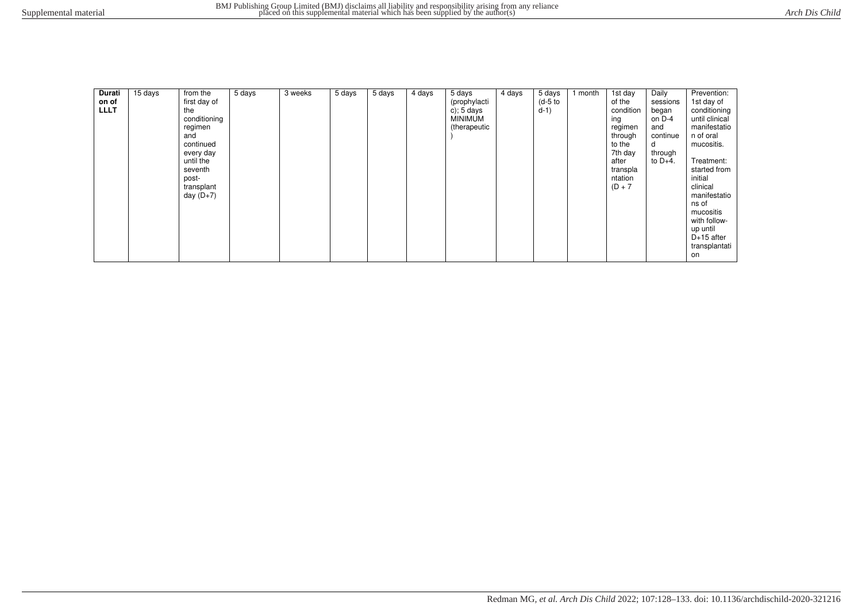| Durati<br>on of<br><b>LLLT</b> | 15 days | from the<br>first day of<br>the<br>conditioning<br>regimen<br>and<br>continued<br>every day<br>until the<br>seventh<br>post-<br>transplant<br>day $(D+7)$ | 5 days | 3 weeks | 5 days | 5 days | 4 days | 5 days<br>(prophylacti<br>c); $5 \text{ days}$<br><b>MINIMUM</b><br>(therapeutic | 4 days | 5 days<br>$(d-5)$ to<br>$d-1)$ | I month | 1st day<br>of the<br>condition<br>ing<br>regimen<br>through<br>to the<br>7th day<br>after<br>transpla<br>ntation<br>$(D + 7)$ | Daily<br>sessions<br>began<br>on D-4<br>and<br>continue<br>d<br>through<br>to $D+4$ . | Prevention:<br>1st day of<br>conditioning<br>until clinical<br>manifestatio<br>n of oral<br>mucositis.<br>Treatment:<br>started from<br>initial<br>clinical<br>manifestatio<br>ns of<br>mucositis<br>with follow-<br>up until<br>$D+15$ after<br>transplantati<br>on |
|--------------------------------|---------|-----------------------------------------------------------------------------------------------------------------------------------------------------------|--------|---------|--------|--------|--------|----------------------------------------------------------------------------------|--------|--------------------------------|---------|-------------------------------------------------------------------------------------------------------------------------------|---------------------------------------------------------------------------------------|----------------------------------------------------------------------------------------------------------------------------------------------------------------------------------------------------------------------------------------------------------------------|
|--------------------------------|---------|-----------------------------------------------------------------------------------------------------------------------------------------------------------|--------|---------|--------|--------|--------|----------------------------------------------------------------------------------|--------|--------------------------------|---------|-------------------------------------------------------------------------------------------------------------------------------|---------------------------------------------------------------------------------------|----------------------------------------------------------------------------------------------------------------------------------------------------------------------------------------------------------------------------------------------------------------------|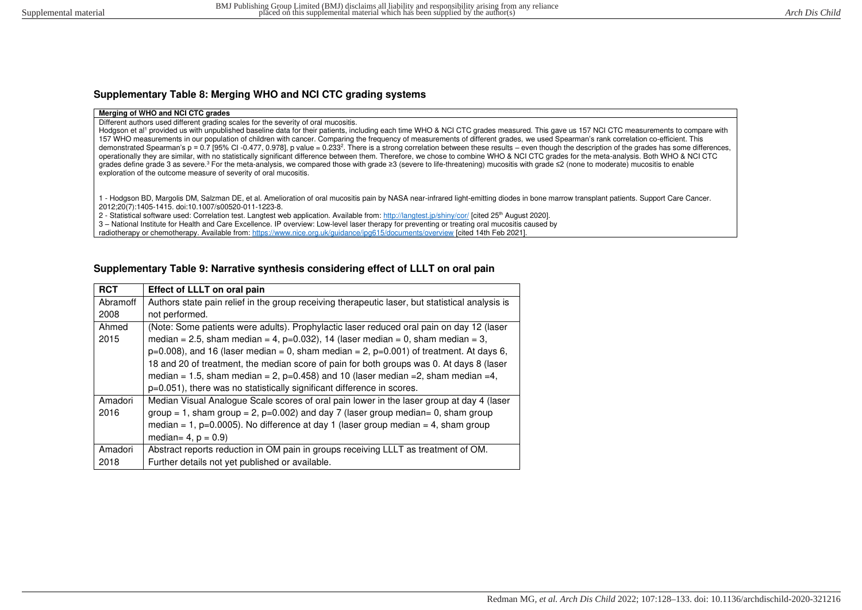# **Supplementary Table 8: Merging WHO and NCI CTC grading systems**

#### **Merging of WHO and NCI CTC grades**

Different authors used different grading scales for the severity of oral mucositis.

Hodgson et al<sup>1</sup> provided us with unpublished baseline data for their patients, including each time WHO & NCI CTC grades measured. This gave us 157 NCI CTC measurements to compare with 157 WHO measurements in our population of children with cancer. Comparing the frequency of measurements of different grades, we used Spearman's rank correlation co-efficient. This demonstrated Spearman's p = 0.7 [95% CI -0.477, 0.978], p value = 0.233<sup>2</sup>. There is a strong correlation between these results – even though the description of the grades has some differences, operationally they are similar, with no statistically significant difference between them. Therefore, we chose to combine WHO & NCI CTC grades for the meta-analysis. Both WHO & NCI CTC grades define grade 3 as severe.<sup>3</sup> For the meta-analysis, we compared those with grade ≥3 (severe to life-threatening) mucositis with grade ≤2 (none to moderate) mucositis to enable exploration of the outcome measure of severity of oral mucositis.

1 - Hodgson BD, Margolis DM, Salzman DE, et al. Amelioration of oral mucositis pain by NASA near-infrared light-emitting diodes in bone marrow transplant patients. Support Care Cancer. 2012;20(7):1405-1415. doi:10.1007/s00520-011-1223-8.

2 - Statistical software used: Correlation test. Langtest web application. Available from[: http://langtest.jp/shiny/cor/](http://langtest.jp/shiny/cor/) [cited 25<sup>th</sup> August 2020].

3 – National Institute for Health and Care Excellence. IP overview: Low-level laser therapy for preventing or treating oral mucositis caused by

radiotherapy or chemotherapy. Available from[: https://www.nice.org.uk/guidance/ipg615/documents/overview](https://www.nice.org.uk/guidance/ipg615/documents/overview) [cited 14th Feb 2021].

# **Supplementary Table 9: Narrative synthesis considering effect of LLLT on oral pain**

| <b>RCT</b> | Effect of LLLT on oral pain                                                                     |
|------------|-------------------------------------------------------------------------------------------------|
| Abramoff   | Authors state pain relief in the group receiving therapeutic laser, but statistical analysis is |
| 2008       | not performed.                                                                                  |
| Ahmed      | (Note: Some patients were adults). Prophylactic laser reduced oral pain on day 12 (laser        |
| 2015       | median = 2.5, sham median = 4, p=0.032), 14 (laser median = 0, sham median = 3,                 |
|            | $p=0.008$ , and 16 (laser median = 0, sham median = 2, $p=0.001$ ) of treatment. At days 6,     |
|            | 18 and 20 of treatment, the median score of pain for both groups was 0. At days 8 (laser        |
|            | median = 1.5, sham median = 2, $p=0.458$ ) and 10 (laser median = 2, sham median = 4,           |
|            | p=0.051), there was no statistically significant difference in scores.                          |
| Amadori    | Median Visual Analogue Scale scores of oral pain lower in the laser group at day 4 (laser       |
| 2016       | group = 1, sham group = 2, $p=0.002$ ) and day 7 (laser group median= 0, sham group             |
|            | median = 1, p=0.0005). No difference at day 1 (laser group median = 4, sham group               |
|            | median= $4$ , $p = 0.9$ )                                                                       |
| Amadori    | Abstract reports reduction in OM pain in groups receiving LLLT as treatment of OM.              |
| 2018       | Further details not yet published or available.                                                 |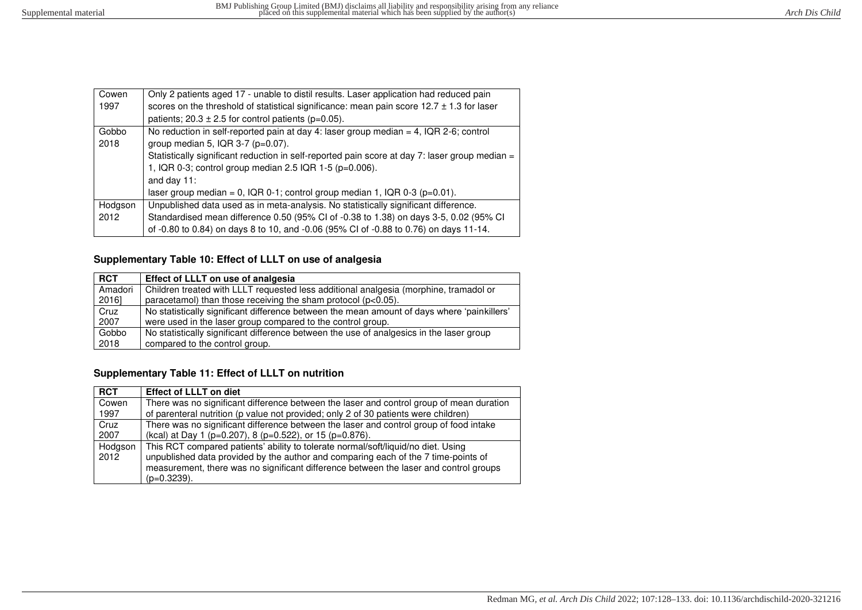| Cowen   | Only 2 patients aged 17 - unable to distil results. Laser application had reduced pain         |  |  |  |  |  |  |
|---------|------------------------------------------------------------------------------------------------|--|--|--|--|--|--|
| 1997    | scores on the threshold of statistical significance: mean pain score $12.7 \pm 1.3$ for laser  |  |  |  |  |  |  |
|         | patients; $20.3 \pm 2.5$ for control patients (p=0.05).                                        |  |  |  |  |  |  |
| Gobbo   | No reduction in self-reported pain at day 4: laser group median = 4, IQR 2-6; control          |  |  |  |  |  |  |
| 2018    | group median 5, IQR $3-7$ ( $p=0.07$ ).                                                        |  |  |  |  |  |  |
|         | Statistically significant reduction in self-reported pain score at day 7: laser group median = |  |  |  |  |  |  |
|         | 1, IQR 0-3; control group median 2.5 IQR 1-5 (p=0.006).                                        |  |  |  |  |  |  |
|         | and day $11$ :                                                                                 |  |  |  |  |  |  |
|         | laser group median = $0$ , IQR 0-1; control group median 1, IQR 0-3 (p=0.01).                  |  |  |  |  |  |  |
| Hodgson | Unpublished data used as in meta-analysis. No statistically significant difference.            |  |  |  |  |  |  |
| 2012    | Standardised mean difference 0.50 (95% CI of -0.38 to 1.38) on days 3-5, 0.02 (95% CI          |  |  |  |  |  |  |
|         | of -0.80 to 0.84) on days 8 to 10, and -0.06 (95% CI of -0.88 to 0.76) on days 11-14.          |  |  |  |  |  |  |

# **Supplementary Table 10: Effect of LLLT on use of analgesia**

| <b>RCT</b> | Effect of LLLT on use of analgesia                                                          |
|------------|---------------------------------------------------------------------------------------------|
| Amadori    | Children treated with LLLT requested less additional analgesia (morphine, tramadol or       |
| 2016]      | paracetamol) than those receiving the sham protocol (p<0.05).                               |
| Cruz       | No statistically significant difference between the mean amount of days where 'painkillers' |
| 2007       | were used in the laser group compared to the control group.                                 |
| Gobbo      | No statistically significant difference between the use of analgesics in the laser group    |
| 2018       | compared to the control group.                                                              |

#### **Supplementary Table 11: Effect of LLLT on nutrition**

| <b>RCT</b> | <b>Effect of LLLT on diet</b>                                                            |
|------------|------------------------------------------------------------------------------------------|
| Cowen      | There was no significant difference between the laser and control group of mean duration |
| 1997       | of parenteral nutrition (p value not provided; only 2 of 30 patients were children)      |
| Cruz       | There was no significant difference between the laser and control group of food intake   |
| 2007       | (kcal) at Day 1 (p=0.207), 8 (p=0.522), or 15 (p=0.876).                                 |
| Hodgson    | This RCT compared patients' ability to tolerate normal/soft/liquid/no diet. Using        |
| 2012       | unpublished data provided by the author and comparing each of the 7 time-points of       |
|            | measurement, there was no significant difference between the laser and control groups    |
|            | $(p=0.3239)$ .                                                                           |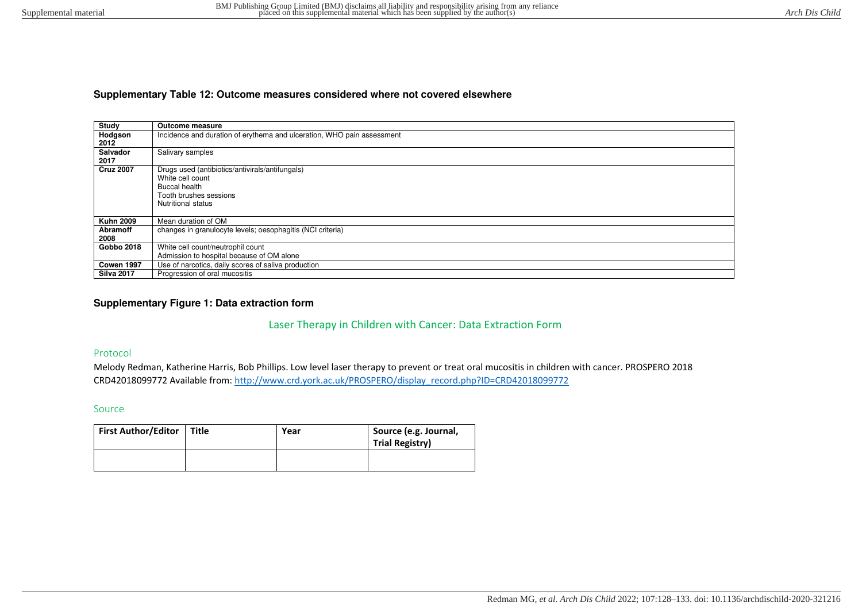## **Supplementary Table 12: Outcome measures considered where not covered elsewhere**

| Study             | <b>Outcome measure</b>                                                 |
|-------------------|------------------------------------------------------------------------|
| Hodgson           | Incidence and duration of erythema and ulceration, WHO pain assessment |
| 2012              |                                                                        |
| Salvador          | Salivary samples                                                       |
| 2017              |                                                                        |
| <b>Cruz 2007</b>  | Drugs used (antibiotics/antivirals/antifungals)                        |
|                   | White cell count                                                       |
|                   | <b>Buccal health</b>                                                   |
|                   | Tooth brushes sessions                                                 |
|                   | <b>Nutritional status</b>                                              |
|                   |                                                                        |
| <b>Kuhn 2009</b>  | Mean duration of OM                                                    |
| Abramoff          | changes in granulocyte levels; oesophagitis (NCI criteria)             |
| 2008              |                                                                        |
| Gobbo 2018        | White cell count/neutrophil count                                      |
|                   | Admission to hospital because of OM alone                              |
| Cowen 1997        | Use of narcotics, daily scores of saliva production                    |
| <b>Silva 2017</b> | Progression of oral mucositis                                          |

## **Supplementary Figure 1: Data extraction form**

# Laser Therapy in Children with Cancer: Data Extraction Form

### Protocol

Melody Redman, Katherine Harris, Bob Phillips. Low level laser therapy to prevent or treat oral mucositis in children with cancer. PROSPERO 2018 CRD42018099772 Available from: [http://www.crd.york.ac.uk/PROSPERO/display\\_record.php?ID=CRD42018099772](http://www.crd.york.ac.uk/PROSPERO/display_record.php?ID=CRD42018099772) 

#### Source

| First Author/Editor | Title | Year | Source (e.g. Journal,<br><b>Trial Registry)</b> |
|---------------------|-------|------|-------------------------------------------------|
|                     |       |      |                                                 |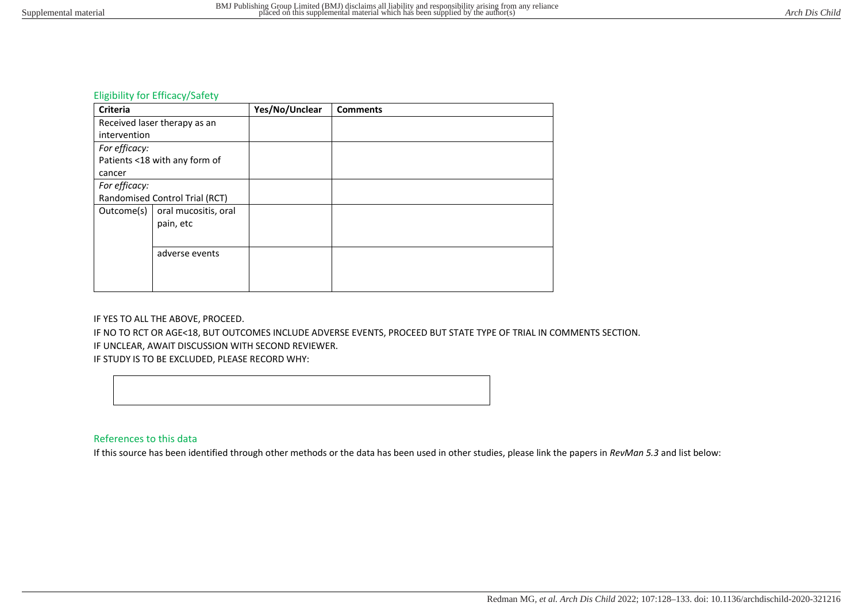# Eligibility for Efficacy/Safety

| <b>Criteria</b> |                                   | Yes/No/Unclear | <b>Comments</b> |
|-----------------|-----------------------------------|----------------|-----------------|
|                 | Received laser therapy as an      |                |                 |
| intervention    |                                   |                |                 |
| For efficacy:   |                                   |                |                 |
|                 | Patients <18 with any form of     |                |                 |
| cancer          |                                   |                |                 |
| For efficacy:   |                                   |                |                 |
|                 | Randomised Control Trial (RCT)    |                |                 |
| Outcome(s)      | oral mucositis, oral<br>pain, etc |                |                 |
|                 |                                   |                |                 |
| adverse events  |                                   |                |                 |
|                 |                                   |                |                 |
|                 |                                   |                |                 |

#### IF YES TO ALL THE ABOVE, PROCEED.

IF NO TO RCT OR AGE<18, BUT OUTCOMES INCLUDE ADVERSE EVENTS, PROCEED BUT STATE TYPE OF TRIAL IN COMMENTS SECTION.

IF UNCLEAR, AWAIT DISCUSSION WITH SECOND REVIEWER.

IF STUDY IS TO BE EXCLUDED, PLEASE RECORD WHY:



## References to this data

If this source has been identified through other methods or the data has been used in other studies, please link the papers in *RevMan 5.3* and list below: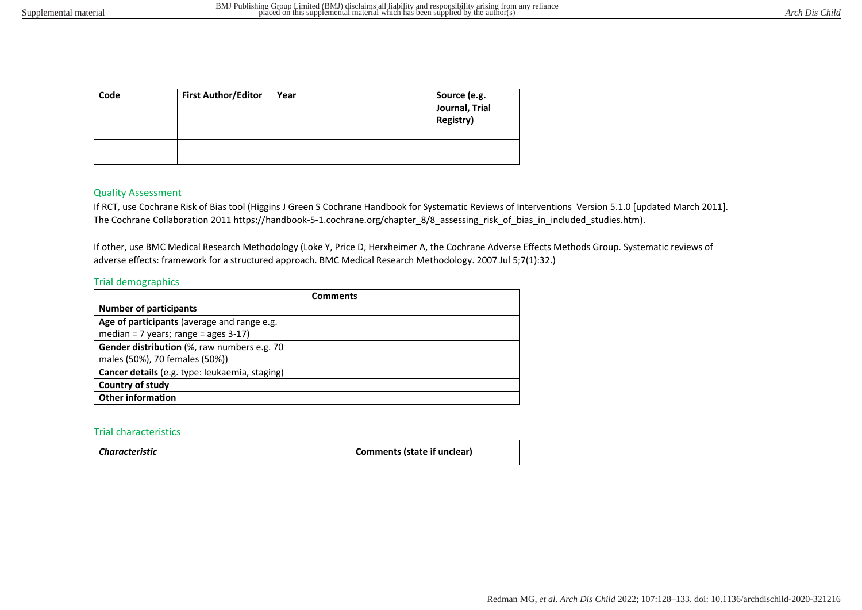| Code | <b>First Author/Editor</b> | Year | Source (e.g.<br>Journal, Trial<br>Registry) |
|------|----------------------------|------|---------------------------------------------|
|      |                            |      |                                             |
|      |                            |      |                                             |
|      |                            |      |                                             |

#### Quality Assessment

If RCT, use Cochrane Risk of Bias tool (Higgins J Green S Cochrane Handbook for Systematic Reviews of Interventions Version 5.1.0 [updated March 2011]. The Cochrane Collaboration 2011 https://handbook-5-1.cochrane.org/chapter\_8/8\_assessing\_risk\_of\_bias\_in\_included\_studies.htm).

If other, use BMC Medical Research Methodology (Loke Y, Price D, Herxheimer A, the Cochrane Adverse Effects Methods Group. Systematic reviews of adverse effects: framework for a structured approach. BMC Medical Research Methodology. 2007 Jul 5;7(1):32.)

#### Trial demographics

|                                                | <b>Comments</b> |
|------------------------------------------------|-----------------|
| <b>Number of participants</b>                  |                 |
| Age of participants (average and range e.g.    |                 |
| median = $7$ years; range = ages 3-17)         |                 |
| Gender distribution (%, raw numbers e.g. 70    |                 |
| males (50%), 70 females (50%))                 |                 |
| Cancer details (e.g. type: leukaemia, staging) |                 |
| Country of study                               |                 |
| <b>Other information</b>                       |                 |

#### Trial characteristics

| Characteristic | Comments (state if unclear) |
|----------------|-----------------------------|
|----------------|-----------------------------|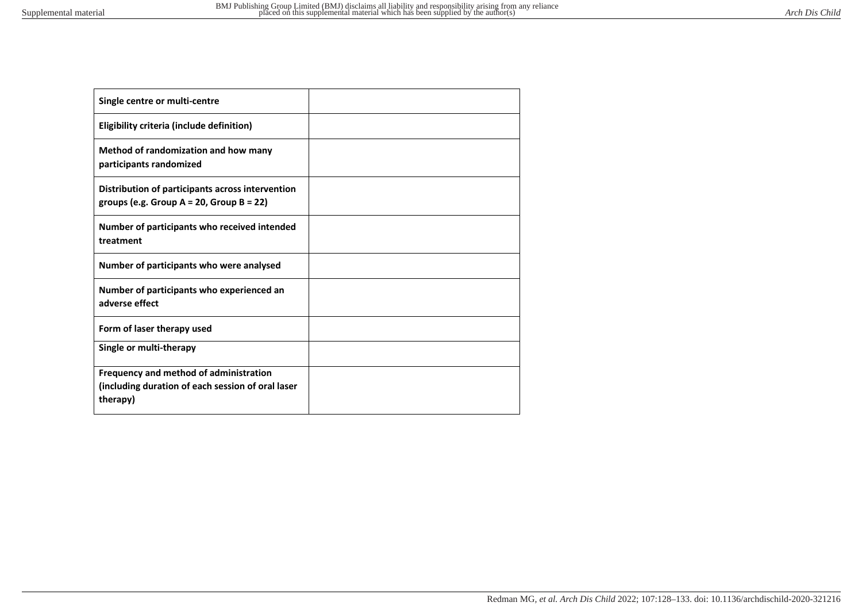- 6

| Single centre or multi-centre                                                                      |  |
|----------------------------------------------------------------------------------------------------|--|
| Eligibility criteria (include definition)                                                          |  |
| Method of randomization and how many<br>participants randomized                                    |  |
| Distribution of participants across intervention<br>groups (e.g. Group $A = 20$ , Group $B = 22$ ) |  |
| Number of participants who received intended<br>treatment                                          |  |
| Number of participants who were analysed                                                           |  |
| Number of participants who experienced an<br>adverse effect                                        |  |
| Form of laser therapy used                                                                         |  |
| Single or multi-therapy                                                                            |  |
| Frequency and method of administration                                                             |  |
| (including duration of each session of oral laser<br>therapy)                                      |  |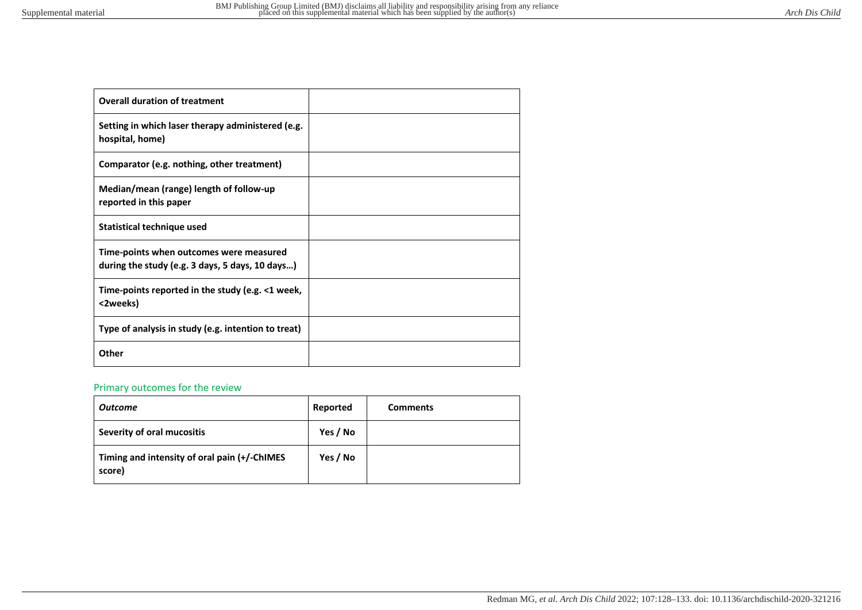| <b>Overall duration of treatment</b>                                                       |  |
|--------------------------------------------------------------------------------------------|--|
| Setting in which laser therapy administered (e.g.<br>hospital, home)                       |  |
| Comparator (e.g. nothing, other treatment)                                                 |  |
| Median/mean (range) length of follow-up<br>reported in this paper                          |  |
| <b>Statistical technique used</b>                                                          |  |
| Time-points when outcomes were measured<br>during the study (e.g. 3 days, 5 days, 10 days) |  |
| Time-points reported in the study (e.g. <1 week,<br><2weeks)                               |  |
| Type of analysis in study (e.g. intention to treat)                                        |  |
| Other                                                                                      |  |

# Primary outcomes for the review

| <b>Outcome</b>                                         | Reported | <b>Comments</b> |
|--------------------------------------------------------|----------|-----------------|
| Severity of oral mucositis                             | Yes / No |                 |
| Timing and intensity of oral pain (+/-ChIMES<br>score) | Yes / No |                 |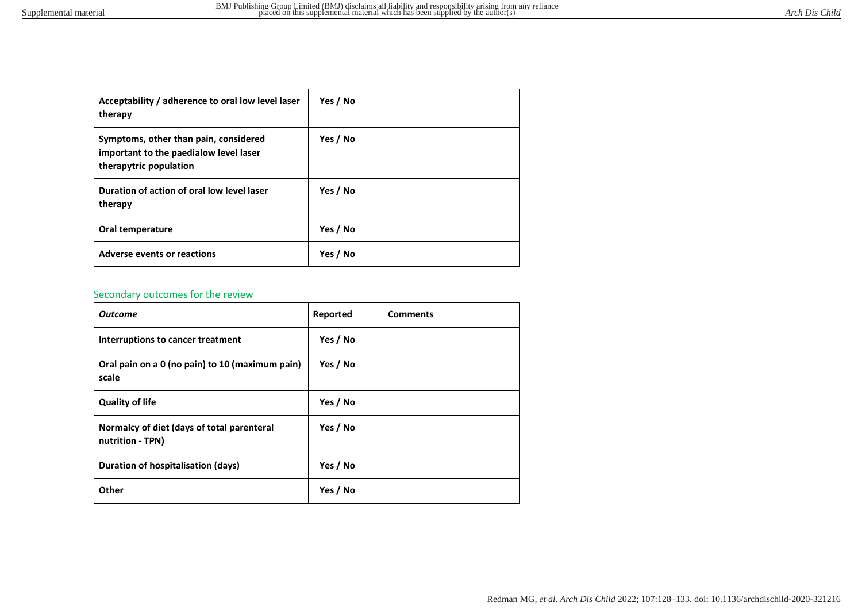| Acceptability / adherence to oral low level laser<br>therapy                                              | Yes / No |  |
|-----------------------------------------------------------------------------------------------------------|----------|--|
| Symptoms, other than pain, considered<br>important to the paedialow level laser<br>therapytric population | Yes / No |  |
| Duration of action of oral low level laser<br>therapy                                                     | Yes / No |  |
| Oral temperature                                                                                          | Yes / No |  |
| Adverse events or reactions                                                                               | Yes / No |  |

# Secondary outcomes for the review

| <b>Outcome</b>                                                 | Reported | <b>Comments</b> |
|----------------------------------------------------------------|----------|-----------------|
| Interruptions to cancer treatment                              | Yes / No |                 |
| Oral pain on a 0 (no pain) to 10 (maximum pain)<br>scale       | Yes / No |                 |
| <b>Quality of life</b>                                         | Yes / No |                 |
| Normalcy of diet (days of total parenteral<br>nutrition - TPN) | Yes / No |                 |
| Duration of hospitalisation (days)                             | Yes / No |                 |
| Other                                                          | Yes / No |                 |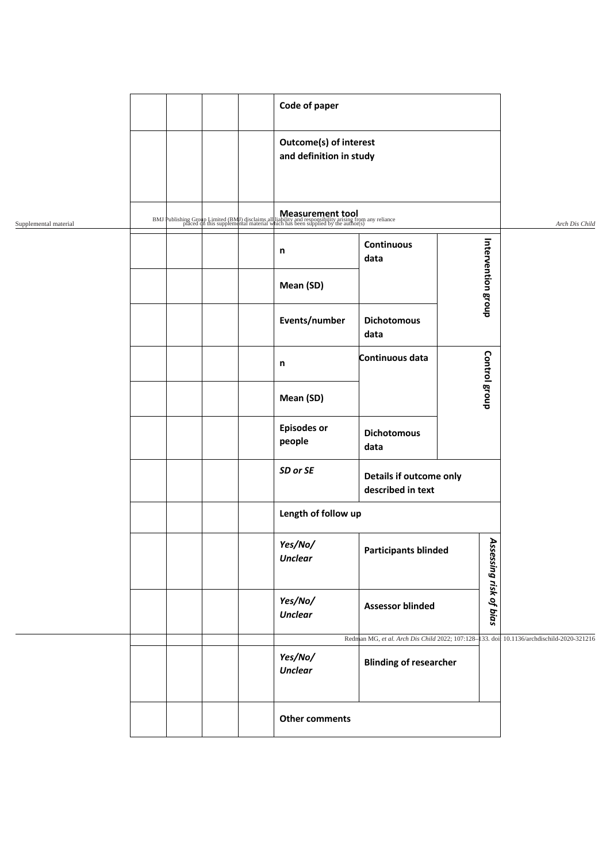|                       |           |  |  | Code of paper                                                                                                                                                                         |                                                          |  |                      |                                            |  |  |
|-----------------------|-----------|--|--|---------------------------------------------------------------------------------------------------------------------------------------------------------------------------------------|----------------------------------------------------------|--|----------------------|--------------------------------------------|--|--|
|                       |           |  |  |                                                                                                                                                                                       |                                                          |  |                      |                                            |  |  |
|                       |           |  |  |                                                                                                                                                                                       | <b>Outcome(s) of interest</b><br>and definition in study |  |                      |                                            |  |  |
|                       |           |  |  |                                                                                                                                                                                       |                                                          |  |                      |                                            |  |  |
|                       |           |  |  |                                                                                                                                                                                       |                                                          |  |                      |                                            |  |  |
| Supplemental material |           |  |  | BMJ Publishing Group Limited (BMJ) disclaims all liability and responsibility arising from any reliance placed on this supplemental material which has been supplied by the author(s) |                                                          |  |                      | Arch Dis Child                             |  |  |
|                       |           |  |  | n                                                                                                                                                                                     | <b>Continuous</b><br>data                                |  |                      |                                            |  |  |
|                       | Mean (SD) |  |  |                                                                                                                                                                                       | Intervention group                                       |  |                      |                                            |  |  |
|                       |           |  |  | Events/number                                                                                                                                                                         | <b>Dichotomous</b><br>data                               |  |                      |                                            |  |  |
|                       |           |  |  | $\mathsf n$                                                                                                                                                                           | Continuous data                                          |  | Control group        |                                            |  |  |
|                       |           |  |  | Mean (SD)                                                                                                                                                                             |                                                          |  |                      |                                            |  |  |
|                       |           |  |  | <b>Episodes or</b><br>people                                                                                                                                                          | <b>Dichotomous</b><br>data                               |  |                      |                                            |  |  |
|                       |           |  |  | SD or SE                                                                                                                                                                              | Details if outcome only<br>described in text             |  |                      |                                            |  |  |
|                       |           |  |  | Length of follow up                                                                                                                                                                   |                                                          |  |                      |                                            |  |  |
|                       |           |  |  | Yes/No/<br><b>Unclear</b>                                                                                                                                                             | <b>Participants blinded</b>                              |  | As.                  |                                            |  |  |
|                       |           |  |  | Yes/No/<br><b>Unclear</b>                                                                                                                                                             | <b>Assessor blinded</b>                                  |  | sessing risk of bias |                                            |  |  |
|                       |           |  |  |                                                                                                                                                                                       | Redman MG, et al. Arch Dis Child 2022; 107:128-          |  |                      | 133. doi: 10.1136/archdischild-2020-321216 |  |  |
|                       |           |  |  | Yes/No/<br><b>Unclear</b>                                                                                                                                                             | <b>Blinding of researcher</b>                            |  |                      |                                            |  |  |
|                       |           |  |  | <b>Other comments</b>                                                                                                                                                                 |                                                          |  |                      |                                            |  |  |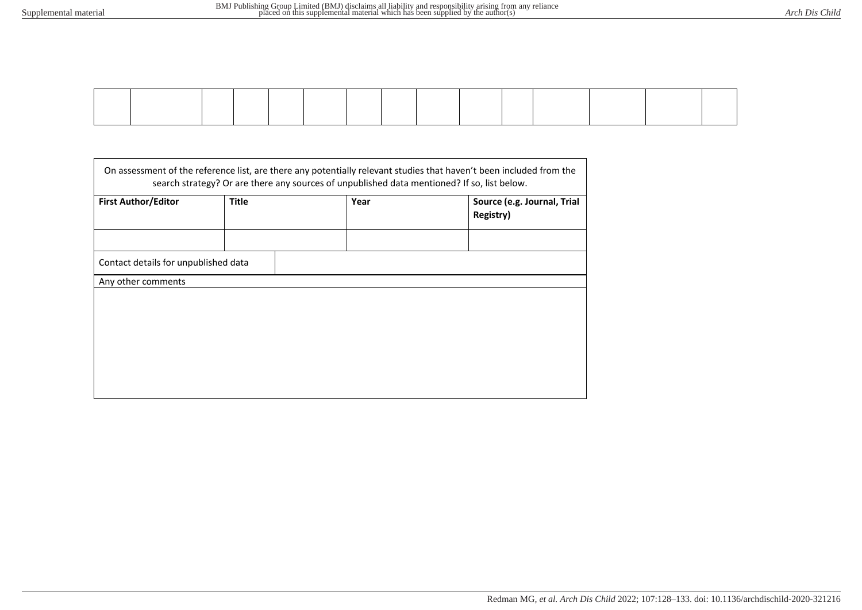| <b>First Author/Editor</b>           | <b>Title</b> | Year | Source (e.g. Journal, Trial<br>Registry) |
|--------------------------------------|--------------|------|------------------------------------------|
| Contact details for unpublished data |              |      |                                          |
| Any other comments                   |              |      |                                          |
|                                      |              |      |                                          |
|                                      |              |      |                                          |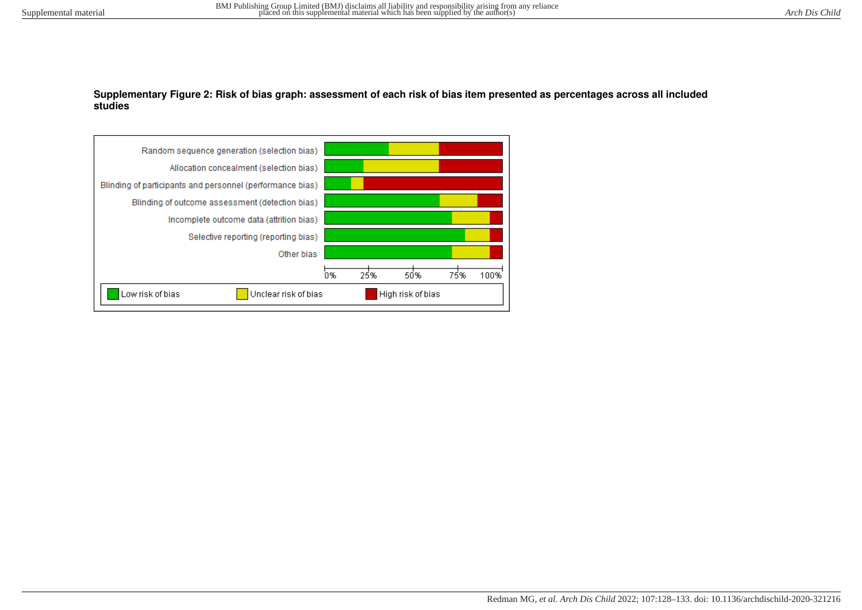### **Supplementary Figure 2: Risk of bias graph: assessment of each risk of bias item presented as percentages across all included studies**

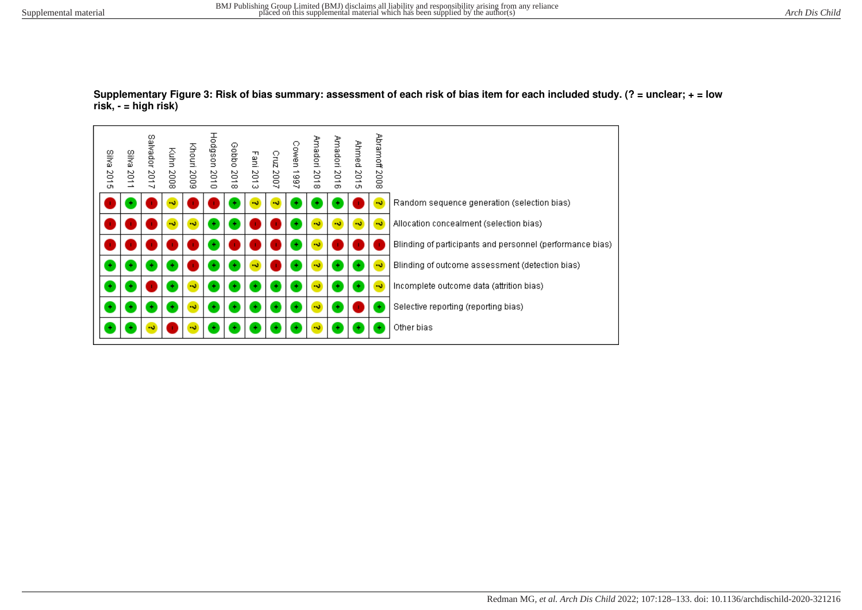

#### **Supplementary Figure 3: Risk of bias summary: assessment of each risk of bias item for each included study. (? = unclear; + = low risk, - = high risk)**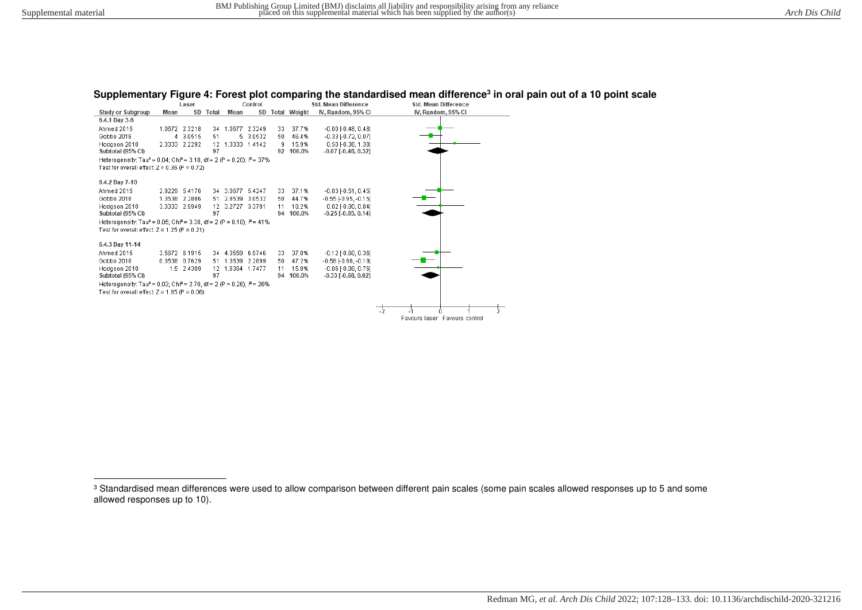## **Supplementary Figure 4: Forest plot comparing the standardised mean difference<sup>3</sup> in oral pain out of a 10 point scale**

|                                                                                                          |      | Laser         |          |                  | <b>Control</b> |    |                 | <b>Std. Mean Difference</b>   |    | <b>Std. Mean Difference</b>   |
|----------------------------------------------------------------------------------------------------------|------|---------------|----------|------------------|----------------|----|-----------------|-------------------------------|----|-------------------------------|
| <b>Study or Subgroup</b>                                                                                 | Mean |               | SD Total | <b>Mean</b>      |                |    | SD Total Weight | IV, Random, 95% CI            |    | IV, Random, 95% CI            |
| 6.4.1 Day 3-6                                                                                            |      |               |          |                  |                |    |                 |                               |    |                               |
| Ahmed 2015                                                                                               |      | 1.0672 2.3218 | 34       | 1.0677           | 2.3249         | 33 | 37.7%           | $-0.00$ $[-0.48, 0.48]$       |    |                               |
| Gobbo 2018                                                                                               |      | 4 3.0515      | 51       | 5.               | 3.0532         | 50 | 46.4%           | $-0.33$ [ $-0.72$ , $0.07$ ]  |    |                               |
| Hodason 2010                                                                                             |      | 2.3333 2.2292 | 12       | 1.3333 1.4142    |                | я  | 15.9%           | $0.50$ [ $-0.38$ , 1.38]      |    |                               |
| Subtotal (95% CI)                                                                                        |      |               | 97       |                  |                | 92 | 100.0%          | $-0.07$ [ $-0.46$ , $0.32$ ]  |    |                               |
| Heterogeneity: Tau <sup>2</sup> = 0.04; Chi <sup>2</sup> = 3.18, df = 2 (P = 0.20); l <sup>2</sup> = 37% |      |               |          |                  |                |    |                 |                               |    |                               |
| Test for overall effect: $Z = 0.36$ (P = 0.72)                                                           |      |               |          |                  |                |    |                 |                               |    |                               |
|                                                                                                          |      |               |          |                  |                |    |                 |                               |    |                               |
| 6.4.2 Day 7-10                                                                                           |      |               |          |                  |                |    |                 |                               |    |                               |
| Ahmed 2015                                                                                               |      | 2.9229 5.4176 |          | 34 3.0677 5.4247 |                | 33 | 37.1%           | $-0.03$ $[-0.51, 0.45]$       |    |                               |
| Gobbo 2018                                                                                               |      | 1.3538 2.2886 | 51       | 2.8539 3.0532    |                | 50 | 44.7%           | $-0.55$ [ $-0.95$ , $-0.15$ ] |    |                               |
| Hodason 2010                                                                                             |      | 3.3333 2.9949 | 12       | 3.2727 3.3791    |                | 11 | 18.2%           | $0.02$ [ $-0.80, 0.84$ ]      |    |                               |
| Subtotal (95% CI)                                                                                        |      |               | 97       |                  |                | 94 | 100.0%          | $-0.25$ [ $-0.65$ , 0.14]     |    |                               |
| Heterogeneity: Tau <sup>2</sup> = 0.05; Chi <sup>2</sup> = 3.38, df = 2 (P = 0.18); i <sup>2</sup> = 41% |      |               |          |                  |                |    |                 |                               |    |                               |
| Test for overall effect: $Z = 1.25$ (P = 0.21)                                                           |      |               |          |                  |                |    |                 |                               |    |                               |
|                                                                                                          |      |               |          |                  |                |    |                 |                               |    |                               |
| 6.4.3 Day 11-14                                                                                          |      |               |          |                  |                |    |                 |                               |    |                               |
| Ahmed 2015                                                                                               |      | 3.5672 6.1915 |          | 34 4.3559 6.9746 |                | 33 | 37.0%           | $-0.12$ [ $-0.60, 0.36$ ]     |    |                               |
| Gobbo 2018                                                                                               |      | 0.3538 0.7629 |          | 51 1.3539 2.2899 |                | 50 | 47.2%           | $-0.58$ $[-0.98, -0.19]$      |    |                               |
| Hodason 2010                                                                                             |      | 1.5 2.4309    | 12       | 1.6364 1.7477    |                | 11 | 15.8%           | $-0.06$ $-0.88$ , $0.761$     |    |                               |
| Subtotal (95% CI)                                                                                        |      |               | 97       |                  |                | 94 | 100.0%          | $-0.33$ $[-0.68, 0.02]$       |    |                               |
| Heterogeneity: Tau <sup>2</sup> = 0.03; Chi <sup>2</sup> = 2.70, df = 2 (P = 0.26); i <sup>2</sup> = 26% |      |               |          |                  |                |    |                 |                               |    |                               |
| Test for overall effect: $Z = 1.85$ (P = 0.06)                                                           |      |               |          |                  |                |    |                 |                               |    |                               |
|                                                                                                          |      |               |          |                  |                |    |                 |                               |    |                               |
|                                                                                                          |      |               |          |                  |                |    |                 |                               | -2 |                               |
|                                                                                                          |      |               |          |                  |                |    |                 |                               |    | Favours laser Favours control |

<sup>&</sup>lt;sup>3</sup> Standardised mean differences were used to allow comparison between different pain scales (some pain scales allowed responses up to 5 and some allowed responses up to 10).